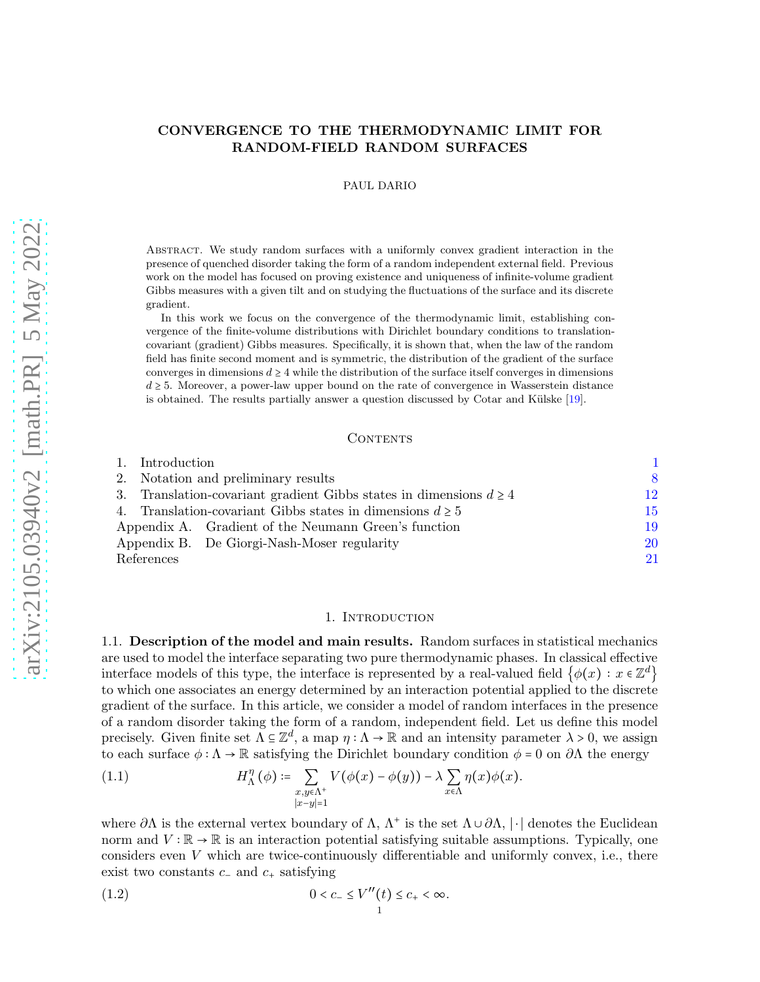# CONVERGENCE TO THE THERMODYNAMIC LIMIT FOR RANDOM-FIELD RANDOM SURFACES

PAUL DARIO

Abstract. We study random surfaces with a uniformly convex gradient interaction in the presence of quenched disorder taking the form of a random independent external field. Previous work on the model has focused on proving existence and uniqueness of infinite-volume gradient Gibbs measures with a given tilt and on studying the fluctuations of the surface and its discrete gradient.

In this work we focus on the convergence of the thermodynamic limit, establishing convergence of the finite-volume distributions with Dirichlet boundary conditions to translationcovariant (gradient) Gibbs measures. Specifically, it is shown that, when the law of the random field has finite second moment and is symmetric, the distribution of the gradient of the surface converges in dimensions  $d \geq 4$  while the distribution of the surface itself converges in dimensions  $d \geq 5$ . Moreover, a power-law upper bound on the rate of convergence in Wasserstein distance is obtained. The results partially answer a question discussed by Cotar and Külske  $[19]$ .

#### CONTENTS

| 1. Introduction                                                         |                                                      |    |
|-------------------------------------------------------------------------|------------------------------------------------------|----|
| 2. Notation and preliminary results                                     |                                                      | 8  |
| 3. Translation-covariant gradient Gibbs states in dimensions $d \geq 4$ |                                                      | 12 |
| 4. Translation-covariant Gibbs states in dimensions $d \geq 5$          |                                                      | 15 |
|                                                                         | Appendix A. Gradient of the Neumann Green's function | 19 |
|                                                                         | Appendix B. De Giorgi-Nash-Moser regularity          | 20 |
| References                                                              |                                                      | 21 |

#### 1. Introduction

<span id="page-0-2"></span><span id="page-0-0"></span>1.1. Description of the model and main results. Random surfaces in statistical mechanics are used to model the interface separating two pure thermodynamic phases. In classical effective interface models of this type, the interface is represented by a real-valued field  $\{\phi(x): x \in \mathbb{Z}^d\}$ to which one associates an energy determined by an interaction potential applied to the discrete gradient of the surface. In this article, we consider a model of random interfaces in the presence of a random disorder taking the form of a random, independent field. Let us define this model precisely. Given finite set  $\Lambda \subseteq \mathbb{Z}^d$ , a map  $\eta : \Lambda \to \mathbb{R}$  and an intensity parameter  $\lambda > 0$ , we assign to each surface  $\phi : \Lambda \to \mathbb{R}$  satisfying the Dirichlet boundary condition  $\phi = 0$  on  $\partial \Lambda$  the energy

(1.1) 
$$
H_{\Lambda}^{\eta}(\phi) \coloneqq \sum_{\substack{x,y \in \Lambda^+ \\ |x-y|=1}} V(\phi(x) - \phi(y)) - \lambda \sum_{x \in \Lambda} \eta(x) \phi(x).
$$

where  $\partial\Lambda$  is the external vertex boundary of  $\Lambda$ ,  $\Lambda^+$  is the set  $\Lambda\cup\partial\Lambda$ ,  $|\cdot|$  denotes the Euclidean norm and  $V : \mathbb{R} \to \mathbb{R}$  is an interaction potential satisfying suitable assumptions. Typically, one considers even V which are twice-continuously differentiable and uniformly convex, i.e., there exist two constants  $c_-\$  and  $c_+\$  satisfying

<span id="page-0-1"></span>
$$
(1.2) \t\t 0 < c_- \le V''(t) \le c_+ < \infty.
$$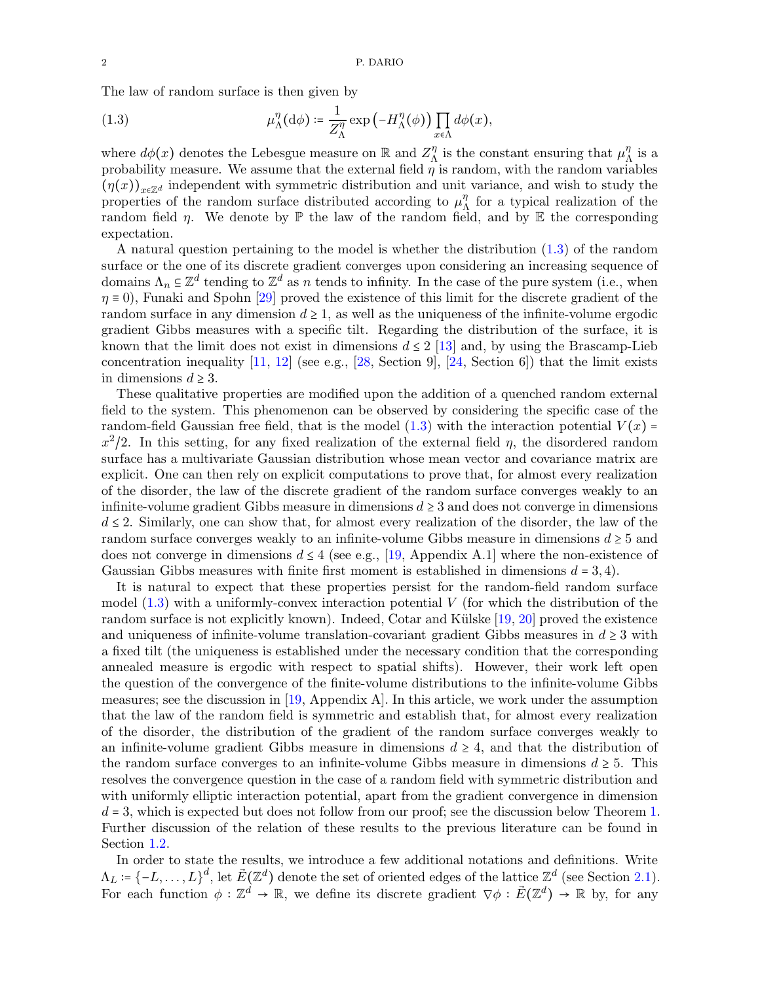The law of random surface is then given by

<span id="page-1-0"></span>(1.3) 
$$
\mu_{\Lambda}^{\eta}(\mathrm{d}\phi) \coloneqq \frac{1}{Z_{\Lambda}^{\eta}} \exp\left(-H_{\Lambda}^{\eta}(\phi)\right) \prod_{x \in \Lambda} d\phi(x),
$$

where  $d\phi(x)$  denotes the Lebesgue measure on R and  $Z_{\Lambda}^{\eta}$  is the constant ensuring that  $\mu_{\Lambda}^{\eta}$  is a probability measure. We assume that the external field  $\eta$  is random, with the random variables  $(\eta(x))_{x\in\mathbb{Z}^d}$  independent with symmetric distribution and unit variance, and wish to study the properties of the random surface distributed according to  $\mu_{\Lambda}^{\eta}$  for a typical realization of the random field  $\eta$ . We denote by  $\mathbb P$  the law of the random field, and by  $\mathbb E$  the corresponding expectation.

A natural question pertaining to the model is whether the distribution [\(1.3\)](#page-1-0) of the random surface or the one of its discrete gradient converges upon considering an increasing sequence of domains  $\Lambda_n \subseteq \mathbb{Z}^d$  tending to  $\mathbb{Z}^d$  as n tends to infinity. In the case of the pure system (i.e., when  $\eta \equiv 0$ ), Funaki and Spohn [\[29\]](#page-21-1) proved the existence of this limit for the discrete gradient of the random surface in any dimension  $d \geq 1$ , as well as the uniqueness of the infinite-volume ergodic gradient Gibbs measures with a specific tilt. Regarding the distribution of the surface, it is known that the limit does not exist in dimensions  $d \leq 2$  [\[13\]](#page-20-1) and, by using the Brascamp-Lieb concentration inequality  $[11, 12]$  $[11, 12]$  (see e.g.,  $[28, \text{Section 9}]$ ,  $[24, \text{Section 6}]$ ) that the limit exists in dimensions  $d \geq 3$ .

These qualitative properties are modified upon the addition of a quenched random external field to the system. This phenomenon can be observed by considering the specific case of the random-field Gaussian free field, that is the model  $(1.3)$  with the interaction potential  $V(x)$  $x^2/2$ . In this setting, for any fixed realization of the external field  $\eta$ , the disordered random surface has a multivariate Gaussian distribution whose mean vector and covariance matrix are explicit. One can then rely on explicit computations to prove that, for almost every realization of the disorder, the law of the discrete gradient of the random surface converges weakly to an infinite-volume gradient Gibbs measure in dimensions  $d \geq 3$  and does not converge in dimensions  $d \leq 2$ . Similarly, one can show that, for almost every realization of the disorder, the law of the random surface converges weakly to an infinite-volume Gibbs measure in dimensions  $d \geq 5$  and does not converge in dimensions  $d \leq 4$  (see e.g., [\[19,](#page-21-0) Appendix A.1] where the non-existence of Gaussian Gibbs measures with finite first moment is established in dimensions  $d = 3, 4$ .

It is natural to expect that these properties persist for the random-field random surface model  $(1.3)$  with a uniformly-convex interaction potential V (for which the distribution of the random surface is not explicitly known). Indeed, Cotar and Külske  $[19, 20]$  $[19, 20]$  proved the existence and uniqueness of infinite-volume translation-covariant gradient Gibbs measures in  $d \geq 3$  with a fixed tilt (the uniqueness is established under the necessary condition that the corresponding annealed measure is ergodic with respect to spatial shifts). However, their work left open the question of the convergence of the finite-volume distributions to the infinite-volume Gibbs measures; see the discussion in  $[19,$  Appendix A. In this article, we work under the assumption that the law of the random field is symmetric and establish that, for almost every realization of the disorder, the distribution of the gradient of the random surface converges weakly to an infinite-volume gradient Gibbs measure in dimensions  $d \geq 4$ , and that the distribution of the random surface converges to an infinite-volume Gibbs measure in dimensions  $d \geq 5$ . This resolves the convergence question in the case of a random field with symmetric distribution and with uniformly elliptic interaction potential, apart from the gradient convergence in dimension  $d = 3$ , which is expected but does not follow from our proof; see the discussion below Theorem [1.](#page-2-0) Further discussion of the relation of these results to the previous literature can be found in Section [1.2.](#page-3-0)

In order to state the results, we introduce a few additional notations and definitions. Write  $\Lambda_L \coloneqq \{-L, \ldots, L\}^d$ , let  $\vec{E}(\mathbb{Z}^d)$  denote the set of oriented edges of the lattice  $\mathbb{Z}^d$  (see Section [2.1\)](#page-7-1). For each function  $\phi : \mathbb{Z}^d \to \mathbb{R}$ , we define its discrete gradient  $\nabla \phi : \vec{E}(\mathbb{Z}^d) \to \mathbb{R}$  by, for any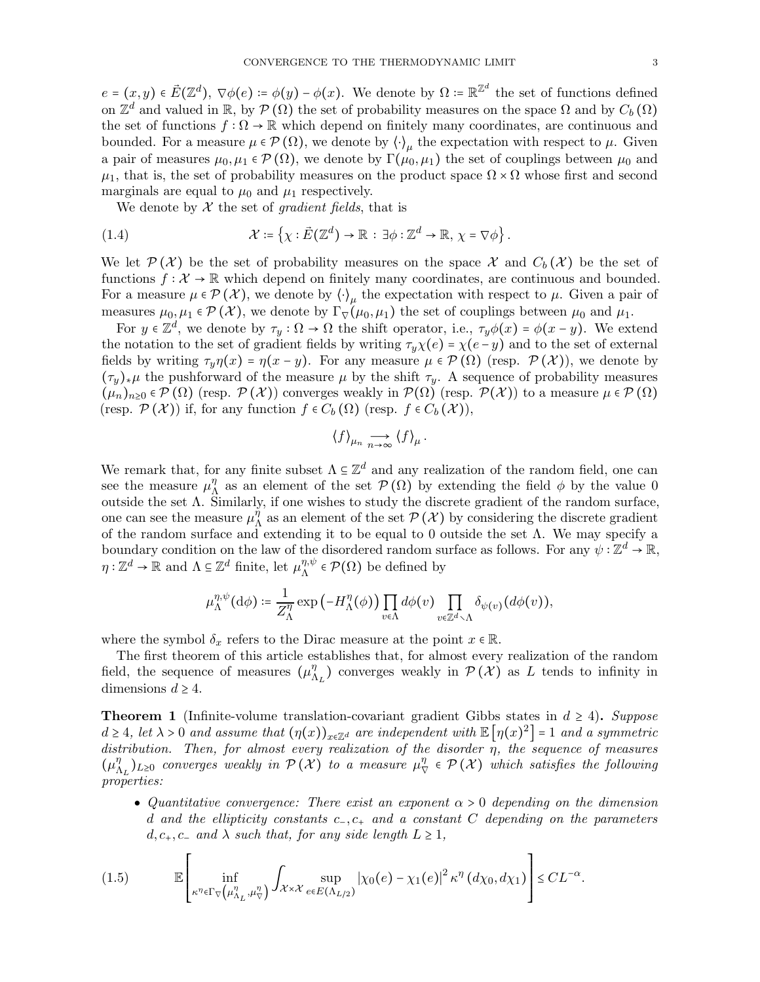$e = (x, y) \in \vec{E}(\mathbb{Z}^d), \ \nabla \phi(e) \coloneqq \phi(y) - \phi(x)$ . We denote by  $\Omega \coloneqq \mathbb{R}^{\mathbb{Z}^d}$  the set of functions defined on  $\mathbb{Z}^d$  and valued in  $\mathbb{R}$ , by  $\mathcal{P}(\Omega)$  the set of probability measures on the space  $\Omega$  and by  $C_b(\Omega)$ the set of functions  $f : \Omega \to \mathbb{R}$  which depend on finitely many coordinates, are continuous and bounded. For a measure  $\mu \in \mathcal{P}(\Omega)$ , we denote by  $\langle \cdot \rangle_{\mu}$  the expectation with respect to  $\mu$ . Given a pair of measures  $\mu_0, \mu_1 \in \mathcal{P}(\Omega)$ , we denote by  $\Gamma(\mu_0, \mu_1)$  the set of couplings between  $\mu_0$  and  $\mu_1$ , that is, the set of probability measures on the product space  $\Omega \times \Omega$  whose first and second marginals are equal to  $\mu_0$  and  $\mu_1$  respectively.

We denote by  $X$  the set of *gradient fields*, that is

(1.4) 
$$
\mathcal{X} \coloneqq \left\{ \chi : \vec{E}(\mathbb{Z}^d) \to \mathbb{R} \, : \, \exists \phi : \mathbb{Z}^d \to \mathbb{R}, \, \chi = \nabla \phi \right\}.
$$

We let  $\mathcal{P}(\mathcal{X})$  be the set of probability measures on the space X and  $C_b(\mathcal{X})$  be the set of functions  $f: \mathcal{X} \to \mathbb{R}$  which depend on finitely many coordinates, are continuous and bounded. For a measure  $\mu \in \mathcal{P}(\mathcal{X})$ , we denote by  $\langle \cdot \rangle_{\mu}$  the expectation with respect to  $\mu$ . Given a pair of measures  $\mu_0, \mu_1 \in \mathcal{P}(\mathcal{X})$ , we denote by  $\Gamma_{\nabla}(\mu_0, \mu_1)$  the set of couplings between  $\mu_0$  and  $\mu_1$ .

For  $y \in \mathbb{Z}^d$ , we denote by  $\tau_y : \Omega \to \Omega$  the shift operator, i.e.,  $\tau_y \phi(x) = \phi(x - y)$ . We extend the notation to the set of gradient fields by writing  $\tau_y \chi(e) = \chi(e - y)$  and to the set of external fields by writing  $\tau_y \eta(x) = \eta(x - y)$ . For any measure  $\mu \in \mathcal{P}(\Omega)$  (resp.  $\mathcal{P}(\mathcal{X})$ ), we denote by  $(\tau_y)_*\mu$  the pushforward of the measure  $\mu$  by the shift  $\tau_y$ . A sequence of probability measures  $(\mu_n)_{n\geq 0} \in \mathcal{P}(\Omega)$  (resp.  $\mathcal{P}(\mathcal{X})$ ) converges weakly in  $\mathcal{P}(\Omega)$  (resp.  $\mathcal{P}(\mathcal{X})$ ) to a measure  $\mu \in \mathcal{P}(\Omega)$ (resp.  $\mathcal{P}(\mathcal{X})$ ) if, for any function  $f \in C_b(\Omega)$  (resp.  $f \in C_b(\mathcal{X})$ ),

$$
\langle f \rangle_{\mu_n} \underset{n \to \infty}{\longrightarrow} \langle f \rangle_{\mu}
$$

.

We remark that, for any finite subset  $\Lambda \subseteq \mathbb{Z}^d$  and any realization of the random field, one can see the measure  $\mu_{\Lambda}^{\eta}$  as an element of the set  $\mathcal{P}(\Omega)$  by extending the field  $\phi$  by the value 0 outside the set  $\Lambda$ . Similarly, if one wishes to study the discrete gradient of the random surface, one can see the measure  $\mu_{\Lambda}^{\eta}$  as an element of the set  $\mathcal{P}(\mathcal{X})$  by considering the discrete gradient of the random surface and extending it to be equal to 0 outside the set  $\Lambda$ . We may specify a boundary condition on the law of the disordered random surface as follows. For any  $\psi : \mathbb{Z}^d \to \mathbb{R}$ ,  $\eta: \mathbb{Z}^d \to \mathbb{R}$  and  $\Lambda \subseteq \mathbb{Z}^d$  finite, let  $\mu_{\Lambda}^{\eta, \psi} \in \mathcal{P}(\Omega)$  be defined by

$$
\mu_\Lambda^{\eta,\psi}(\mathrm{d}\phi)\coloneqq \frac{1}{Z_\Lambda^\eta}\exp\left(-H_\Lambda^\eta(\phi)\right)\prod_{v\in\Lambda}d\phi(v)\prod_{v\in\mathbb{Z}^d\smallsetminus\Lambda}\delta_{\psi(v)}(d\phi(v)),
$$

where the symbol  $\delta_x$  refers to the Dirac measure at the point  $x \in \mathbb{R}$ .

The first theorem of this article establishes that, for almost every realization of the random field, the sequence of measures  $(\mu_{\Lambda_L}^{\eta})$  converges weakly in  $\mathcal{P}(\mathcal{X})$  as L tends to infinity in dimensions  $d \geq 4$ .

<span id="page-2-0"></span>**Theorem 1** (Infinite-volume translation-covariant gradient Gibbs states in  $d \geq 4$ ). Suppose  $d \geq 4$ , let  $\lambda > 0$  and assume that  $(\eta(x))_{x \in \mathbb{Z}^d}$  are independent with  $\mathbb{E}[\eta(x)^2] = 1$  and a symmetric distribution. Then, for almost every realization of the disorder η, the sequence of measures  $(\mu_{\Lambda_L}^{\eta})_{L\geq0}$  converges weakly in  $\mathcal{P}(\mathcal{X})$  to a measure  $\mu_{\nabla}^{\eta} \in \mathcal{P}(\mathcal{X})$  which satisfies the following properties:

• Quantitative convergence: There exist an exponent  $\alpha > 0$  depending on the dimension d and the ellipticity constants  $c_-, c_+$  and a constant C depending on the parameters  $d, c_+, c_-$  and  $\lambda$  such that, for any side length  $L \geq 1$ ,

.

<span id="page-2-1"></span>
$$
(1.5) \qquad \mathbb{E}\left[\inf_{\kappa^{\eta}\in\Gamma_{\nabla}\left(\mu_{\Lambda_{L}}^{\eta},\mu_{\nabla}^{\eta}\right)}\int_{\mathcal{X}\times\mathcal{X}}\sup_{e\in E(\Lambda_{L/2})}|\chi_{0}(e)-\chi_{1}(e)|^{2}\kappa^{\eta}\left(d\chi_{0},d\chi_{1}\right)\right]\leq CL^{-\alpha}
$$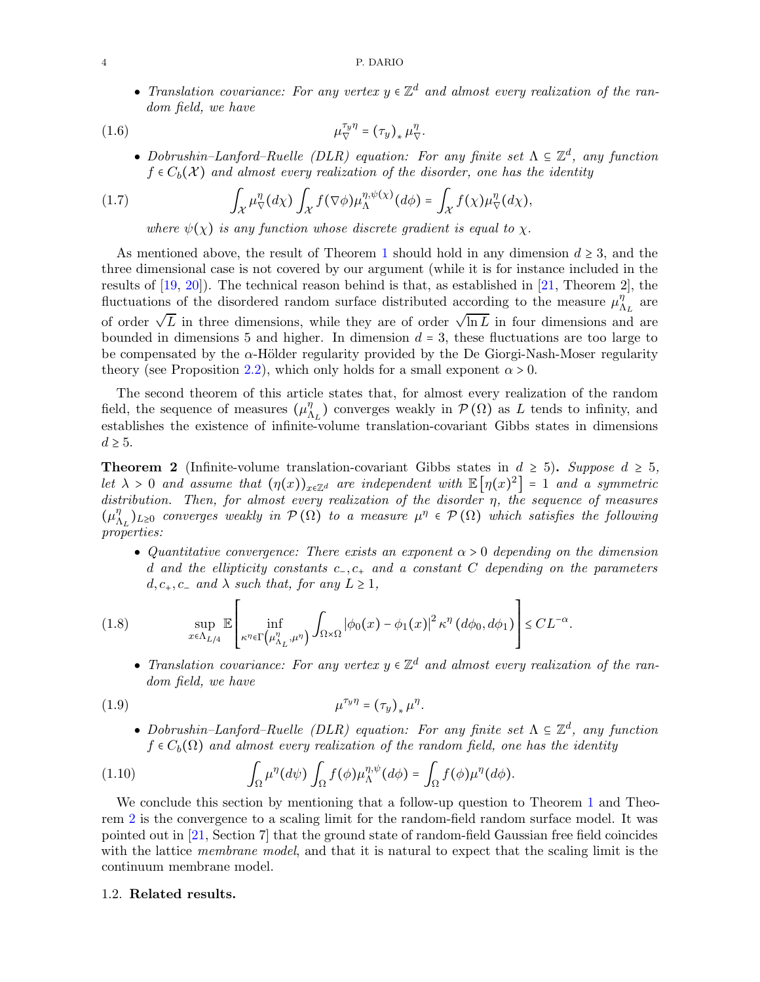• Translation covariance: For any vertex  $y \in \mathbb{Z}^d$  and almost every realization of the random field, we have

(1.6) 
$$
\mu_{\nabla}^{\tau_y \eta} = (\tau_y)_* \mu_{\nabla}^{\eta}.
$$

<span id="page-3-3"></span>• Dobrushin–Lanford–Ruelle (DLR) equation: For any finite set  $\Lambda \subseteq \mathbb{Z}^d$ , any function  $f \in C_b(\mathcal{X})$  and almost every realization of the disorder, one has the identity

(1.7) 
$$
\int_{\mathcal{X}} \mu_{\nabla}^{\eta} (d\chi) \int_{\mathcal{X}} f(\nabla \phi) \mu_{\Lambda}^{\eta, \psi(\chi)} (d\phi) = \int_{\mathcal{X}} f(\chi) \mu_{\nabla}^{\eta} (d\chi),
$$

<span id="page-3-4"></span>where  $\psi(\chi)$  is any function whose discrete gradient is equal to  $\chi$ .

As mentioned above, the result of Theorem [1](#page-2-0) should hold in any dimension  $d \geq 3$ , and the three dimensional case is not covered by our argument (while it is for instance included in the results of  $[19, 20]$  $[19, 20]$ ). The technical reason behind is that, as established in  $[21,$  Theorem 2], the fluctuations of the disordered random surface distributed according to the measure  $\mu_{\Lambda_L}^{\eta}$  are of order  $\sqrt{L}$  in three dimensions, while they are of order  $\sqrt{\ln L}$  in four dimensions and are bounded in dimensions 5 and higher. In dimension  $d = 3$ , these fluctuations are too large to be compensated by the  $\alpha$ -Hölder regularity provided by the De Giorgi-Nash-Moser regularity theory (see Proposition [2.2\)](#page-10-0), which only holds for a small exponent  $\alpha > 0$ .

The second theorem of this article states that, for almost every realization of the random field, the sequence of measures  $(\mu_{\Lambda_L}^{\eta})$  converges weakly in  $\mathcal{P}(\Omega)$  as L tends to infinity, and establishes the existence of infinite-volume translation-covariant Gibbs states in dimensions  $d \geq 5$ .

<span id="page-3-1"></span>**Theorem 2** (Infinite-volume translation-covariant Gibbs states in  $d \geq 5$ ). Suppose  $d \geq 5$ , let  $\lambda > 0$  and assume that  $(\eta(x))_{x \in \mathbb{Z}^d}$  are independent with  $\mathbb{E}[\eta(x)^2] = 1$  and a symmetric distribution. Then, for almost every realization of the disorder  $\eta$ , the sequence of measures  $(\mu_{\Lambda_L}^{\eta})_{L\geq0}$  converges weakly in  $\mathcal{P}(\Omega)$  to a measure  $\mu^{\eta} \in \mathcal{P}(\Omega)$  which satisfies the following properties:

• Quantitative convergence: There exists an exponent  $\alpha > 0$  depending on the dimension d and the ellipticity constants  $c_-, c_+$  and a constant C depending on the parameters  $d, c_+, c_-$  and  $\lambda$  such that, for any  $L \geq 1$ ,

(1.8) 
$$
\sup_{x \in \Lambda_{L/4}} \mathbb{E}\left[\inf_{\kappa^{\eta} \in \Gamma\left(\mu_{\Lambda_L}^{\eta}, \mu^{\eta}\right)} \int_{\Omega \times \Omega} |\phi_0(x) - \phi_1(x)|^2 \kappa^{\eta} \left(d\phi_0, d\phi_1\right)\right] \leq CL^{-\alpha}.
$$

<span id="page-3-2"></span>• Translation covariance: For any vertex  $y \in \mathbb{Z}^d$  and almost every realization of the random field, we have

$$
\mu^{\tau_y \eta} = (\tau_y)_* \mu^{\eta}.
$$

<span id="page-3-6"></span><span id="page-3-5"></span>• Dobrushin–Lanford–Ruelle (DLR) equation: For any finite set  $\Lambda \subseteq \mathbb{Z}^d$ , any function  $f \in C_b(\Omega)$  and almost every realization of the random field, one has the identity

(1.10) 
$$
\int_{\Omega} \mu^{\eta}(d\psi) \int_{\Omega} f(\phi) \mu_{\Lambda}^{\eta,\psi}(d\phi) = \int_{\Omega} f(\phi) \mu^{\eta}(d\phi).
$$

We conclude this section by mentioning that a follow-up question to Theorem [1](#page-2-0) and Theorem [2](#page-3-1) is the convergence to a scaling limit for the random-field random surface model. It was pointed out in [\[21,](#page-21-5) Section 7] that the ground state of random-field Gaussian free field coincides with the lattice *membrane model*, and that it is natural to expect that the scaling limit is the continuum membrane model.

### <span id="page-3-0"></span>1.2. Related results.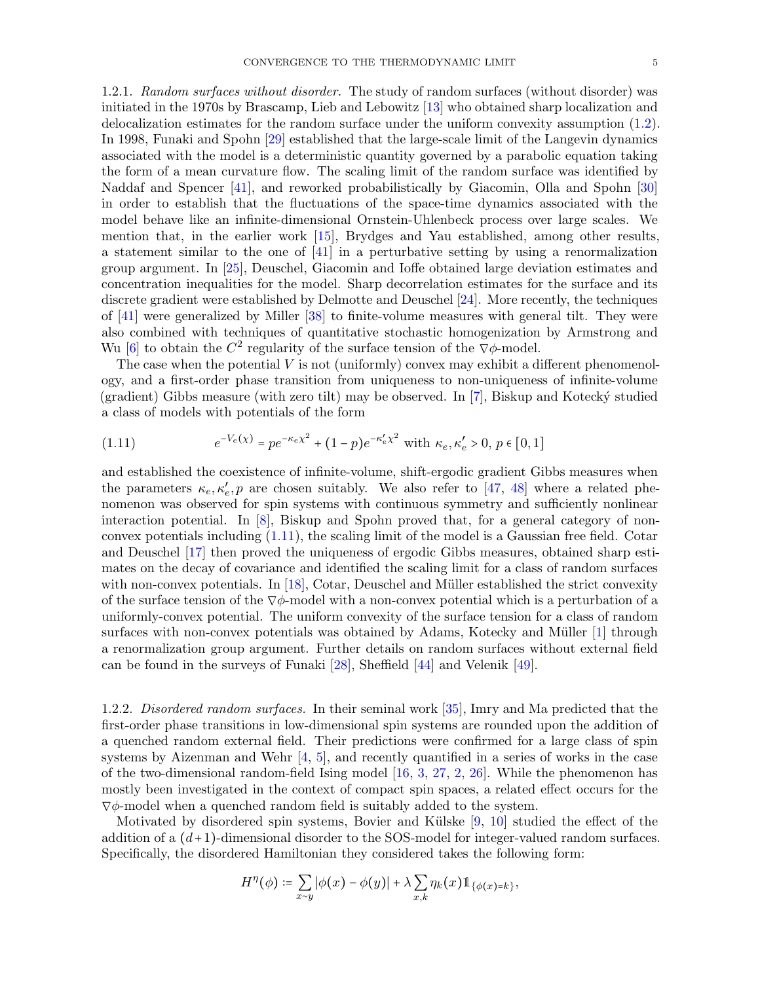1.2.1. Random surfaces without disorder. The study of random surfaces (without disorder) was initiated in the 1970s by Brascamp, Lieb and Lebowitz [\[13\]](#page-20-1) who obtained sharp localization and delocalization estimates for the random surface under the uniform convexity assumption [\(1.2\)](#page-0-1). In 1998, Funaki and Spohn [\[29\]](#page-21-1) established that the large-scale limit of the Langevin dynamics associated with the model is a deterministic quantity governed by a parabolic equation taking the form of a mean curvature flow. The scaling limit of the random surface was identified by Naddaf and Spencer [\[41\]](#page-21-6), and reworked probabilistically by Giacomin, Olla and Spohn [\[30\]](#page-21-7) in order to establish that the fluctuations of the space-time dynamics associated with the model behave like an infinite-dimensional Ornstein-Uhlenbeck process over large scales. We mention that, in the earlier work [\[15\]](#page-20-4), Brydges and Yau established, among other results, a statement similar to the one of [\[41\]](#page-21-6) in a perturbative setting by using a renormalization group argument. In [\[25\]](#page-21-8), Deuschel, Giacomin and Ioffe obtained large deviation estimates and concentration inequalities for the model. Sharp decorrelation estimates for the surface and its discrete gradient were established by Delmotte and Deuschel [\[24\]](#page-21-3). More recently, the techniques of [\[41\]](#page-21-6) were generalized by Miller [\[38\]](#page-21-9) to finite-volume measures with general tilt. They were also combined with techniques of quantitative stochastic homogenization by Armstrong and Wu [\[6\]](#page-20-5) to obtain the  $C^2$  regularity of the surface tension of the  $\nabla \phi$ -model.

The case when the potential  $V$  is not (uniformly) convex may exhibit a different phenomenology, and a first-order phase transition from uniqueness to non-uniqueness of infinite-volume (gradient) Gibbs measure (with zero tilt) may be observed. In  $[7]$ , Biskup and Kotecký studied a class of models with potentials of the form

<span id="page-4-0"></span>(1.11) 
$$
e^{-V_e(\chi)} = p e^{-\kappa_e \chi^2} + (1-p) e^{-\kappa_e' \chi^2} \text{ with } \kappa_e, \kappa_e' > 0, p \in [0, 1]
$$

and established the coexistence of infinite-volume, shift-ergodic gradient Gibbs measures when the parameters  $\kappa_e, \kappa'_e, p$  are chosen suitably. We also refer to [\[47,](#page-22-0) [48\]](#page-22-1) where a related phenomenon was observed for spin systems with continuous symmetry and sufficiently nonlinear interaction potential. In [\[8\]](#page-20-7), Biskup and Spohn proved that, for a general category of nonconvex potentials including [\(1.11\)](#page-4-0), the scaling limit of the model is a Gaussian free field. Cotar and Deuschel [\[17\]](#page-21-10) then proved the uniqueness of ergodic Gibbs measures, obtained sharp estimates on the decay of covariance and identified the scaling limit for a class of random surfaces with non-convex potentials. In  $[18]$ , Cotar, Deuschel and Müller established the strict convexity of the surface tension of the  $\nabla \phi$ -model with a non-convex potential which is a perturbation of a uniformly-convex potential. The uniform convexity of the surface tension for a class of random surfaces with non-convex potentials was obtained by Adams, Kotecky and Müller [\[1\]](#page-20-8) through a renormalization group argument. Further details on random surfaces without external field can be found in the surveys of Funaki [\[28\]](#page-21-2), Sheffield [\[44\]](#page-21-12) and Velenik [\[49\]](#page-22-2).

1.2.2. Disordered random surfaces. In their seminal work [\[35\]](#page-21-13), Imry and Ma predicted that the first-order phase transitions in low-dimensional spin systems are rounded upon the addition of a quenched random external field. Their predictions were confirmed for a large class of spin systems by Aizenman and Wehr  $[4, 5]$  $[4, 5]$ , and recently quantified in a series of works in the case of the two-dimensional random-field Ising model  $[16, 3, 27, 2, 26]$  $[16, 3, 27, 2, 26]$  $[16, 3, 27, 2, 26]$  $[16, 3, 27, 2, 26]$  $[16, 3, 27, 2, 26]$  $[16, 3, 27, 2, 26]$  $[16, 3, 27, 2, 26]$  $[16, 3, 27, 2, 26]$ . While the phenomenon has mostly been investigated in the context of compact spin spaces, a related effect occurs for the  $\nabla \phi$ -model when a quenched random field is suitably added to the system.

Motivated by disordered spin systems, Bovier and Külske  $[9, 10]$  $[9, 10]$  studied the effect of the addition of a  $(d+1)$ -dimensional disorder to the SOS-model for integer-valued random surfaces. Specifically, the disordered Hamiltonian they considered takes the following form:

$$
H^{\eta}(\phi) \coloneqq \sum_{x \sim y} |\phi(x) - \phi(y)| + \lambda \sum_{x,k} \eta_k(x) \mathbb{1}_{\{\phi(x) = k\}},
$$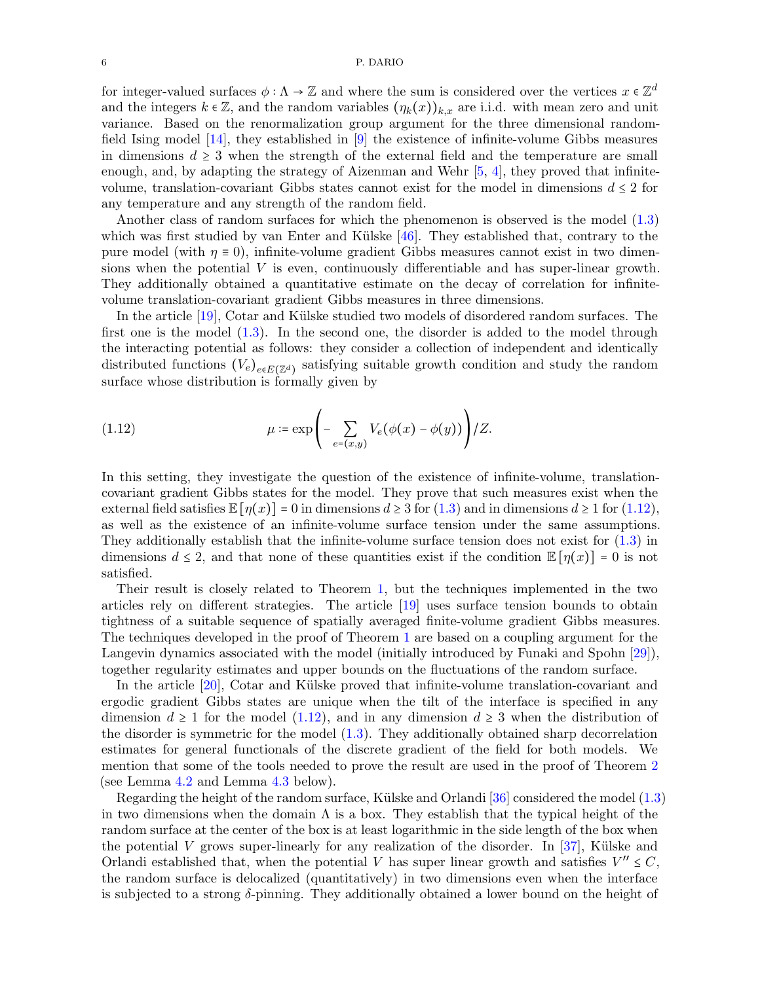#### 6 P. DARIO

for integer-valued surfaces  $\phi : \Lambda \to \mathbb{Z}$  and where the sum is considered over the vertices  $x \in \mathbb{Z}^d$ and the integers  $k \in \mathbb{Z}$ , and the random variables  $(\eta_k(x))_{k,x}$  are i.i.d. with mean zero and unit variance. Based on the renormalization group argument for the three dimensional randomfield Ising model [\[14\]](#page-20-15), they established in [\[9\]](#page-20-13) the existence of infinite-volume Gibbs measures in dimensions  $d \geq 3$  when the strength of the external field and the temperature are small enough, and, by adapting the strategy of Aizenman and Wehr  $[5, 4]$  $[5, 4]$ , they proved that infinitevolume, translation-covariant Gibbs states cannot exist for the model in dimensions  $d \leq 2$  for any temperature and any strength of the random field.

Another class of random surfaces for which the phenomenon is observed is the model [\(1.3\)](#page-1-0) which was first studied by van Enter and Külske  $[46]$ . They established that, contrary to the pure model (with  $\eta \equiv 0$ ), infinite-volume gradient Gibbs measures cannot exist in two dimensions when the potential  $V$  is even, continuously differentiable and has super-linear growth. They additionally obtained a quantitative estimate on the decay of correlation for infinitevolume translation-covariant gradient Gibbs measures in three dimensions.

In the article [\[19\]](#page-21-0), Cotar and Külske studied two models of disordered random surfaces. The first one is the model [\(1.3\)](#page-1-0). In the second one, the disorder is added to the model through the interacting potential as follows: they consider a collection of independent and identically distributed functions  $(V_e)_{e \in E(\mathbb{Z}^d)}$  satisfying suitable growth condition and study the random surface whose distribution is formally given by

<span id="page-5-0"></span>(1.12) 
$$
\mu \coloneqq \exp\left(-\sum_{e=(x,y)} V_e(\phi(x)-\phi(y))\right)/Z.
$$

In this setting, they investigate the question of the existence of infinite-volume, translationcovariant gradient Gibbs states for the model. They prove that such measures exist when the external field satisfies  $\mathbb{E}[\eta(x)] = 0$  in dimensions  $d \geq 3$  for  $(1.3)$  and in dimensions  $d \geq 1$  for  $(1.12)$ , as well as the existence of an infinite-volume surface tension under the same assumptions. They additionally establish that the infinite-volume surface tension does not exist for [\(1.3\)](#page-1-0) in dimensions  $d \leq 2$ , and that none of these quantities exist if the condition  $\mathbb{E}[\eta(x)] = 0$  is not satisfied.

Their result is closely related to Theorem [1,](#page-2-0) but the techniques implemented in the two articles rely on different strategies. The article [\[19\]](#page-21-0) uses surface tension bounds to obtain tightness of a suitable sequence of spatially averaged finite-volume gradient Gibbs measures. The techniques developed in the proof of Theorem [1](#page-2-0) are based on a coupling argument for the Langevin dynamics associated with the model (initially introduced by Funaki and Spohn [\[29\]](#page-21-1)), together regularity estimates and upper bounds on the fluctuations of the random surface.

In the article  $[20]$ , Cotar and Külske proved that infinite-volume translation-covariant and ergodic gradient Gibbs states are unique when the tilt of the interface is specified in any dimension  $d \geq 1$  for the model [\(1.12\)](#page-5-0), and in any dimension  $d \geq 3$  when the distribution of the disorder is symmetric for the model [\(1.3\)](#page-1-0). They additionally obtained sharp decorrelation estimates for general functionals of the discrete gradient of the field for both models. We mention that some of the tools needed to prove the result are used in the proof of Theorem [2](#page-3-1) (see Lemma [4.2](#page-14-1) and Lemma [4.3](#page-15-0) below).

Regarding the height of the random surface, Külske and Orlandi  $[36]$  considered the model  $(1.3)$ in two dimensions when the domain  $\Lambda$  is a box. They establish that the typical height of the random surface at the center of the box is at least logarithmic in the side length of the box when the potential V grows super-linearly for any realization of the disorder. In [\[37\]](#page-21-19), Külske and Orlandi established that, when the potential V has super linear growth and satisfies  $V'' \leq C$ , the random surface is delocalized (quantitatively) in two dimensions even when the interface is subjected to a strong  $\delta$ -pinning. They additionally obtained a lower bound on the height of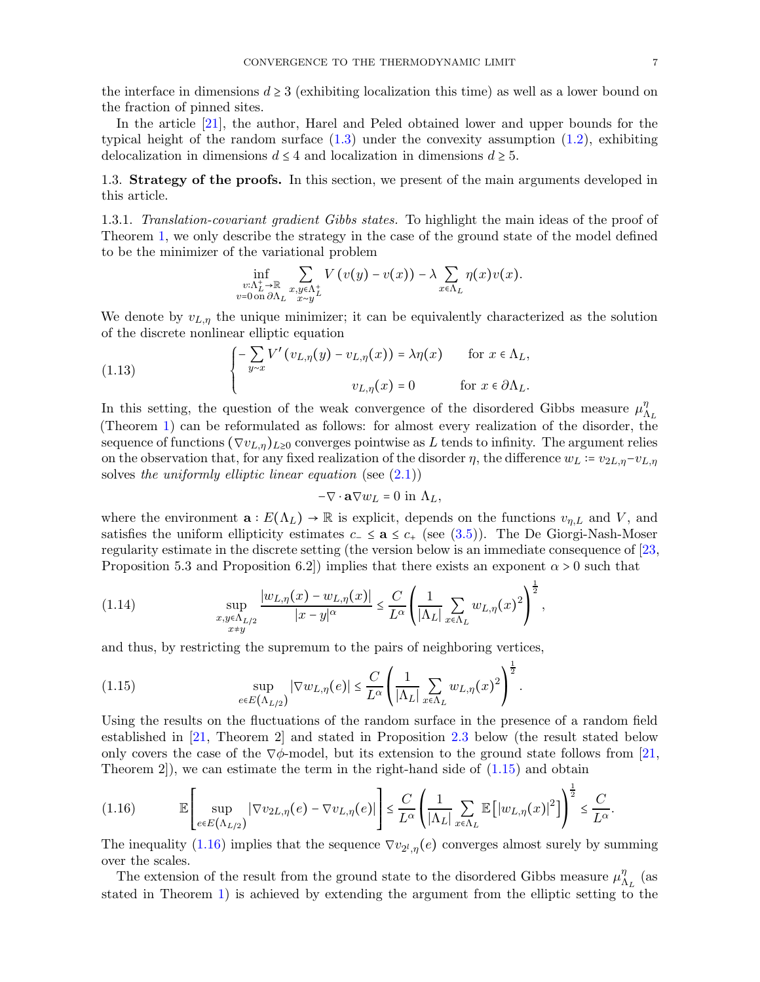the interface in dimensions  $d \geq 3$  (exhibiting localization this time) as well as a lower bound on the fraction of pinned sites.

In the article [\[21\]](#page-21-5), the author, Harel and Peled obtained lower and upper bounds for the typical height of the random surface  $(1.3)$  under the convexity assumption  $(1.2)$ , exhibiting delocalization in dimensions  $d \leq 4$  and localization in dimensions  $d \geq 5$ .

<span id="page-6-2"></span>1.3. Strategy of the proofs. In this section, we present of the main arguments developed in this article.

1.3.1. Translation-covariant gradient Gibbs states. To highlight the main ideas of the proof of Theorem [1,](#page-2-0) we only describe the strategy in the case of the ground state of the model defined to be the minimizer of the variational problem

$$
\inf_{\substack{v:\Lambda_L^+\to\mathbb{R}\\v=0 \text{ on }\partial \Lambda_L}} \sum_{\substack{x,y\in \Lambda_L^+\\x\sim y}} V(v(y)-v(x)) - \lambda \sum_{x\in \Lambda_L} \eta(x)v(x).
$$

We denote by  $v_{L,\eta}$  the unique minimizer; it can be equivalently characterized as the solution of the discrete nonlinear elliptic equation

(1.13) 
$$
\begin{cases} -\sum_{y\sim x} V'(v_{L,\eta}(y) - v_{L,\eta}(x)) = \lambda \eta(x) & \text{for } x \in \Lambda_L, \\ v_{L,\eta}(x) = 0 & \text{for } x \in \partial \Lambda_L. \end{cases}
$$

In this setting, the question of the weak convergence of the disordered Gibbs measure  $\mu_{\Lambda_L}^{\eta}$ (Theorem [1\)](#page-2-0) can be reformulated as follows: for almost every realization of the disorder, the sequence of functions  $(\nabla v_{L,\eta})_{L\geq 0}$  converges pointwise as L tends to infinity. The argument relies on the observation that, for any fixed realization of the disorder  $\eta$ , the difference  $w_L = v_{2L,\eta} - v_{L,\eta}$ solves the uniformly elliptic linear equation (see  $(2.1)$ )

$$
-\nabla \cdot \mathbf{a} \nabla w_L = 0 \text{ in } \Lambda_L,
$$

where the environment  $\mathbf{a}: E(\Lambda_L) \to \mathbb{R}$  is explicit, depends on the functions  $v_{n,L}$  and V, and satisfies the uniform ellipticity estimates  $c_-\leq a \leq c_+$  (see [\(3.5\)](#page-12-0)). The De Giorgi-Nash-Moser regularity estimate in the discrete setting (the version below is an immediate consequence of [\[23,](#page-21-20) Proposition 5.3 and Proposition 6.2) implies that there exists an exponent  $\alpha > 0$  such that

$$
(1.14) \quad \sup_{\substack{x,y\in\Lambda_{L/2}\\x\neq y}}\frac{|w_{L,\eta}(x)-w_{L,\eta}(x)|}{|x-y|^{\alpha}}\leq \frac{C}{L^{\alpha}}\left(\frac{1}{|\Lambda_L|}\sum_{x\in\Lambda_L}w_{L,\eta}(x)^2\right)^{\frac{1}{2}},
$$

and thus, by restricting the supremum to the pairs of neighboring vertices,

<span id="page-6-0"></span>(1.15) 
$$
\sup_{e \in E(\Lambda_{L/2})} |\nabla w_{L,\eta}(e)| \leq \frac{C}{L^{\alpha}} \left( \frac{1}{|\Lambda_L|} \sum_{x \in \Lambda_L} w_{L,\eta}(x)^2 \right)^{\frac{1}{2}}.
$$

Using the results on the fluctuations of the random surface in the presence of a random field established in [\[21,](#page-21-5) Theorem 2] and stated in Proposition [2.3](#page-10-1) below (the result stated below only covers the case of the  $\nabla\phi$ -model, but its extension to the ground state follows from [\[21,](#page-21-5) Theorem 2,, we can estimate the term in the right-hand side of  $(1.15)$  and obtain

<span id="page-6-1"></span>
$$
(1.16) \qquad \mathbb{E}\left[\sup_{e\in E\left(\Lambda_{L/2}\right)}\left|\nabla v_{2L,\eta}(e)-\nabla v_{L,\eta}(e)\right|\right]\leq \frac{C}{L^{\alpha}}\left(\frac{1}{\left|\Lambda_{L}\right|}\sum_{x\in\Lambda_{L}}\mathbb{E}\left[\left|w_{L,\eta}(x)\right|^{2}\right]\right)^{\frac{1}{2}}\leq \frac{C}{L^{\alpha}}.
$$

The inequality [\(1.16\)](#page-6-1) implies that the sequence  $\nabla v_{2^l,\eta}(e)$  converges almost surely by summing over the scales.

The extension of the result from the ground state to the disordered Gibbs measure  $\mu_{\Lambda_L}^{\eta}$  (as stated in Theorem [1\)](#page-2-0) is achieved by extending the argument from the elliptic setting to the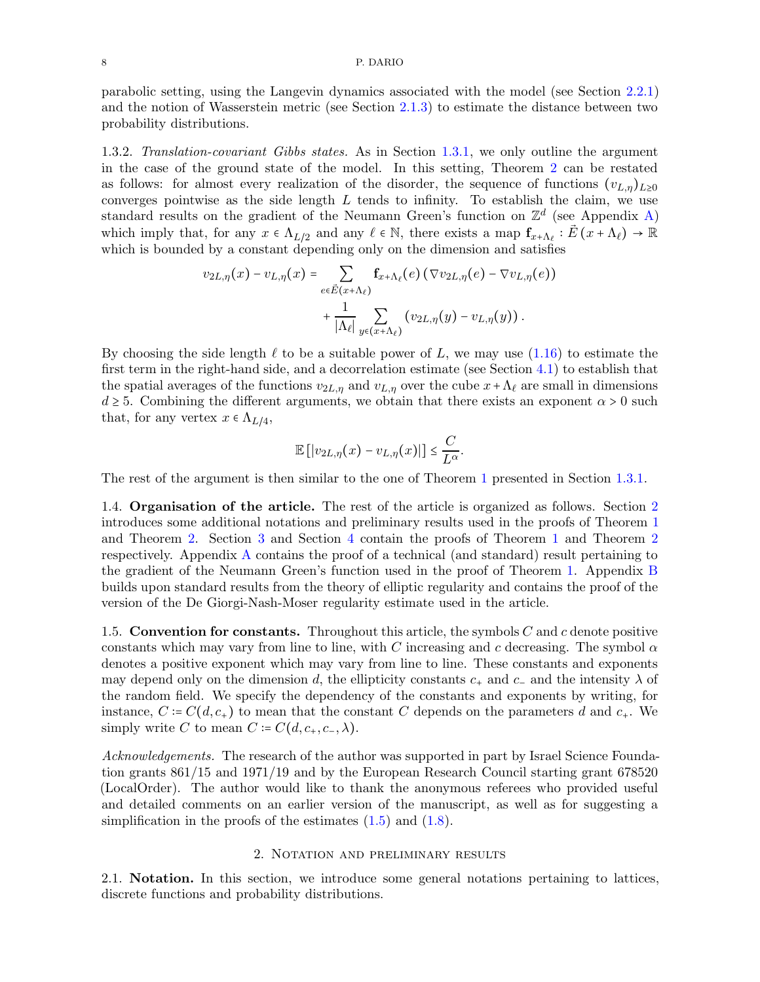#### 8 P. DARIO

parabolic setting, using the Langevin dynamics associated with the model (see Section [2.2.1\)](#page-9-0) and the notion of Wasserstein metric (see Section [2.1.3\)](#page-8-1) to estimate the distance between two probability distributions.

1.3.2. Translation-covariant Gibbs states. As in Section [1.3.1,](#page-6-2) we only outline the argument in the case of the ground state of the model. In this setting, Theorem [2](#page-3-1) can be restated as follows: for almost every realization of the disorder, the sequence of functions  $(v_{L,n})_{L>0}$ converges pointwise as the side length  $L$  tends to infinity. To establish the claim, we use standard results on the gradient of the Neumann Green's function on  $\mathbb{Z}^d$  (see Appendix [A\)](#page-18-0) which imply that, for any  $x \in \Lambda_{L/2}$  and any  $\ell \in \mathbb{N}$ , there exists a map  $f_{x+\Lambda_{\ell}} : \vec{E}(x+\Lambda_{\ell}) \to \mathbb{R}$ which is bounded by a constant depending only on the dimension and satisfies

$$
v_{2L,\eta}(x) - v_{L,\eta}(x) = \sum_{e \in \vec{E}(x+\Lambda_{\ell})} \mathbf{f}_{x+\Lambda_{\ell}}(e) (\nabla v_{2L,\eta}(e) - \nabla v_{L,\eta}(e)) + \frac{1}{|\Lambda_{\ell}|} \sum_{y \in (x+\Lambda_{\ell})} (v_{2L,\eta}(y) - v_{L,\eta}(y)).
$$

By choosing the side length  $\ell$  to be a suitable power of L, we may use [\(1.16\)](#page-6-1) to estimate the first term in the right-hand side, and a decorrelation estimate (see Section [4.1\)](#page-14-2) to establish that the spatial averages of the functions  $v_{2L,\eta}$  and  $v_{L,\eta}$  over the cube  $x+\Lambda_{\ell}$  are small in dimensions  $d \geq 5$ . Combining the different arguments, we obtain that there exists an exponent  $\alpha > 0$  such that, for any vertex  $x \in \Lambda_{L/4}$ ,

$$
\mathbb{E}\left[\left|v_{2L,\eta}(x)-v_{L,\eta}(x)\right|\right]\leq \frac{C}{L^{\alpha}}.
$$

The rest of the argument is then similar to the one of Theorem [1](#page-2-0) presented in Section [1.3.1.](#page-6-2)

1.4. Organisation of the article. The rest of the article is organized as follows. Section [2](#page-7-0) introduces some additional notations and preliminary results used in the proofs of Theorem [1](#page-2-0) and Theorem [2.](#page-3-1) Section [3](#page-11-0) and Section [4](#page-14-0) contain the proofs of Theorem [1](#page-2-0) and Theorem [2](#page-3-1) respectively. Appendix [A](#page-18-0) contains the proof of a technical (and standard) result pertaining to the gradient of the Neumann Green's function used in the proof of Theorem [1.](#page-2-0) Appendix [B](#page-19-0) builds upon standard results from the theory of elliptic regularity and contains the proof of the version of the De Giorgi-Nash-Moser regularity estimate used in the article.

1.5. Convention for constants. Throughout this article, the symbols  $C$  and  $c$  denote positive constants which may vary from line to line, with C increasing and c decreasing. The symbol  $\alpha$ denotes a positive exponent which may vary from line to line. These constants and exponents may depend only on the dimension d, the ellipticity constants  $c_+$  and  $c_-$  and the intensity  $\lambda$  of the random field. We specify the dependency of the constants and exponents by writing, for instance,  $C := C(d, c_+)$  to mean that the constant C depends on the parameters d and  $c_+$ . We simply write C to mean  $C = C(d, c_+, c_-, \lambda)$ .

Acknowledgements. The research of the author was supported in part by Israel Science Foundation grants 861/15 and 1971/19 and by the European Research Council starting grant 678520 (LocalOrder). The author would like to thank the anonymous referees who provided useful and detailed comments on an earlier version of the manuscript, as well as for suggesting a simplification in the proofs of the estimates  $(1.5)$  and  $(1.8)$ .

#### 2. Notation and preliminary results

<span id="page-7-1"></span><span id="page-7-0"></span>2.1. Notation. In this section, we introduce some general notations pertaining to lattices, discrete functions and probability distributions.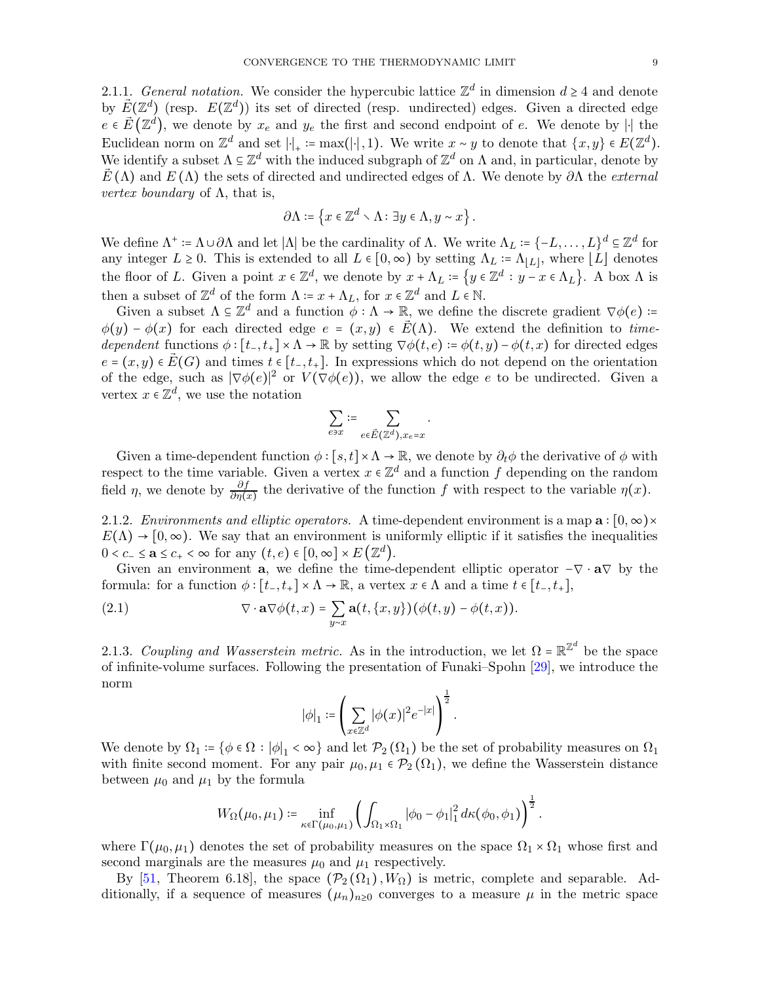<span id="page-8-2"></span>2.1.1. General notation. We consider the hypercubic lattice  $\mathbb{Z}^d$  in dimension  $d \geq 4$  and denote by  $\vec{E}(\mathbb{Z}^d)$  (resp.  $E(\mathbb{Z}^d)$ ) its set of directed (resp. undirected) edges. Given a directed edge  $e \in \vec{E}(\mathbb{Z}^d)$ , we denote by  $x_e$  and  $y_e$  the first and second endpoint of e. We denote by || the Euclidean norm on  $\mathbb{Z}^d$  and set  $|\cdot|_+ := \max(|\cdot|, 1)$ . We write  $x \sim y$  to denote that  $\{x, y\} \in E(\mathbb{Z}^d)$ . We identify a subset  $\Lambda \subseteq \mathbb{Z}^d$  with the induced subgraph of  $\mathbb{Z}^d$  on  $\Lambda$  and, in particular, denote by  $\vec{E}(\Lambda)$  and  $E(\Lambda)$  the sets of directed and undirected edges of  $\Lambda$ . We denote by  $\partial\Lambda$  the *external vertex boundary* of  $\Lambda$ , that is,

$$
\partial \Lambda \coloneqq \left\{ x \in \mathbb{Z}^d \smallsetminus \Lambda \colon \exists y \in \Lambda, y \sim x \right\}.
$$

We define  $\Lambda^+ := \Lambda \cup \partial \Lambda$  and let  $|\Lambda|$  be the cardinality of  $\Lambda$ . We write  $\Lambda_L := \{-L, \ldots, L\}^d \subseteq \mathbb{Z}^d$  for any integer  $L \ge 0$ . This is extended to all  $L \in [0, \infty)$  by setting  $\Lambda_L \coloneqq \Lambda_{\lfloor L \rfloor}$ , where  $\lfloor L \rfloor$  denotes the floor of L. Given a point  $x \in \mathbb{Z}^d$ , we denote by  $x + \Lambda_L := \{y \in \mathbb{Z}^d : y - x \in \Lambda_L\}$ . A box  $\Lambda$  is then a subset of  $\mathbb{Z}^d$  of the form  $\Lambda = x + \Lambda_L$ , for  $x \in \mathbb{Z}^d$  and  $L \in \mathbb{N}$ .

Given a subset  $\Lambda \subseteq \mathbb{Z}^d$  and a function  $\phi : \Lambda \to \mathbb{R}$ , we define the discrete gradient  $\nabla \phi(e)$ :=  $\phi(y) - \phi(x)$  for each directed edge  $e = (x, y) \in \vec{E}(\Lambda)$ . We extend the definition to timedependent functions  $\phi : [t_-, t_+] \times \Lambda \to \mathbb{R}$  by setting  $\nabla \phi(t, e) := \phi(t, y) - \phi(t, x)$  for directed edges  $e = (x, y) \in \vec{E}(G)$  and times  $t \in [t_-, t_+]$ . In expressions which do not depend on the orientation of the edge, such as  $|\nabla \phi(e)|^2$  or  $V(\nabla \phi(e))$ , we allow the edge e to be undirected. Given a vertex  $x \in \mathbb{Z}^d$ , we use the notation

$$
\sum_{e \ni x} \coloneqq \sum_{e \in \vec{E}(\mathbb{Z}^d), x_e = x}
$$

.

Given a time-dependent function  $\phi$  : [s, t] ×  $\Lambda \to \mathbb{R}$ , we denote by  $\partial_t \phi$  the derivative of  $\phi$  with respect to the time variable. Given a vertex  $x \in \mathbb{Z}^d$  and a function f depending on the random field  $\eta$ , we denote by  $\frac{\partial f}{\partial \eta(x)}$  the derivative of the function f with respect to the variable  $\eta(x)$ .

2.1.2. Environments and elliptic operators. A time-dependent environment is a map  $\mathbf{a}$  :  $[0,\infty)\times$  $E(\Lambda) \to [0,\infty)$ . We say that an environment is uniformly elliptic if it satisfies the inequalities  $0 < c_- \le \mathbf{a} \le c_+ < \infty$  for any  $(t, e) \in [0, \infty] \times E(\mathbb{Z}^d)$ .

Given an environment **a**, we define the time-dependent elliptic operator  $-\nabla \cdot \mathbf{a}\nabla$  by the formula: for a function  $\phi : [t_-, t_+] \times \Lambda \to \mathbb{R}$ , a vertex  $x \in \Lambda$  and a time  $t \in [t_-, t_+]$ ,

(2.1) 
$$
\nabla \cdot \mathbf{a} \nabla \phi(t,x) = \sum_{y \sim x} \mathbf{a}(t,\{x,y\}) (\phi(t,y) - \phi(t,x)).
$$

<span id="page-8-1"></span>2.1.3. Coupling and Wasserstein metric. As in the introduction, we let  $\Omega = \mathbb{R}^{\mathbb{Z}^d}$  be the space of infinite-volume surfaces. Following the presentation of Funaki–Spohn [\[29\]](#page-21-1), we introduce the norm

<span id="page-8-0"></span>
$$
|\phi|_1 \coloneqq \left(\sum_{x \in \mathbb{Z}^d} |\phi(x)|^2 e^{-|x|}\right)^{\frac{1}{2}}.
$$

We denote by  $\Omega_1 = \{ \phi \in \Omega : |\phi|_1 < \infty \}$  and let  $\mathcal{P}_2(\Omega_1)$  be the set of probability measures on  $\Omega_1$ with finite second moment. For any pair  $\mu_0, \mu_1 \in \mathcal{P}_2(\Omega_1)$ , we define the Wasserstein distance between  $\mu_0$  and  $\mu_1$  by the formula

$$
W_{\Omega}(\mu_0, \mu_1) \coloneqq \inf_{\kappa \in \Gamma(\mu_0, \mu_1)} \left( \int_{\Omega_1 \times \Omega_1} |\phi_0 - \phi_1|_1^2 \, d\kappa(\phi_0, \phi_1) \right)^{\frac{1}{2}}.
$$

where  $\Gamma(\mu_0, \mu_1)$  denotes the set of probability measures on the space  $\Omega_1 \times \Omega_1$  whose first and second marginals are the measures  $\mu_0$  and  $\mu_1$  respectively.

By [\[51,](#page-22-3) Theorem 6.18], the space  $(\mathcal{P}_2(\Omega_1), W_{\Omega})$  is metric, complete and separable. Additionally, if a sequence of measures  $(\mu_n)_{n\geq 0}$  converges to a measure  $\mu$  in the metric space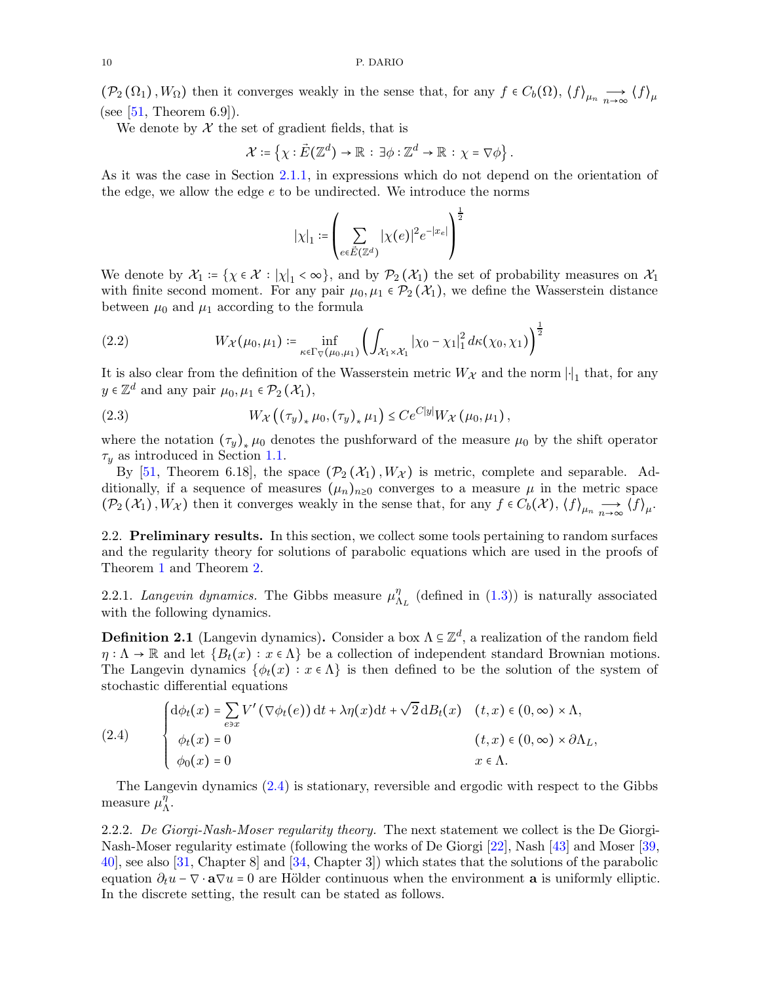$(\mathcal{P}_2(\Omega_1), W_{\Omega})$  then it converges weakly in the sense that, for any  $f \in C_b(\Omega), \langle f \rangle_{\mu_n} \longrightarrow \langle f \rangle_{\mu}$ (see  $[51,$  Theorem 6.9]).

We denote by  $X$  the set of gradient fields, that is

$$
\mathcal{X} \coloneqq \left\{ \chi : \vec{E}(\mathbb{Z}^d) \to \mathbb{R} \, : \, \exists \phi : \mathbb{Z}^d \to \mathbb{R} \, : \, \chi = \nabla \phi \right\}.
$$

As it was the case in Section [2.1.1,](#page-8-2) in expressions which do not depend on the orientation of the edge, we allow the edge  $e$  to be undirected. We introduce the norms

$$
|\chi|_1 \coloneqq \left(\sum_{e \in \vec{E}(\mathbb{Z}^d)} |\chi(e)|^2 e^{-|x_e|} \right)^{\frac{1}{2}}
$$

We denote by  $\mathcal{X}_1 = \{ \chi \in \mathcal{X} : |\chi|_1 < \infty \}$ , and by  $\mathcal{P}_2(\mathcal{X}_1)$  the set of probability measures on  $\mathcal{X}_1$ with finite second moment. For any pair  $\mu_0, \mu_1 \in \mathcal{P}_2(\mathcal{X}_1)$ , we define the Wasserstein distance between  $\mu_0$  and  $\mu_1$  according to the formula

<span id="page-9-2"></span>(2.2) 
$$
W_{\mathcal{X}}(\mu_0, \mu_1) \coloneqq \inf_{\kappa \in \Gamma_{\nabla}(\mu_0, \mu_1)} \left( \int_{\mathcal{X}_1 \times \mathcal{X}_1} |\chi_0 - \chi_1|_1^2 d\kappa(\chi_0, \chi_1) \right)^{\frac{1}{2}}
$$

It is also clear from the definition of the Wasserstein metric  $W_{\mathcal{X}}$  and the norm  $\lvert \cdot \rvert_1$  that, for any  $y \in \mathbb{Z}^d$  and any pair  $\mu_0, \mu_1 \in \mathcal{P}_2(\mathcal{X}_1)$ ,

<span id="page-9-3"></span>(2.3) 
$$
W_{\mathcal{X}}((\tau_y)_*\mu_0, (\tau_y)_*\mu_1) \leq Ce^{C|y|}W_{\mathcal{X}}(\mu_0, \mu_1),
$$

where the notation  $(\tau_y)_*\mu_0$  denotes the pushforward of the measure  $\mu_0$  by the shift operator  $\tau_y$  as introduced in Section [1.1.](#page-0-2)

By [\[51,](#page-22-3) Theorem 6.18], the space  $(\mathcal{P}_2(\mathcal{X}_1), W_{\mathcal{X}})$  is metric, complete and separable. Additionally, if a sequence of measures  $(\mu_n)_{n\geq 0}$  converges to a measure  $\mu$  in the metric space  $(\mathcal{P}_2(\mathcal{X}_1), W_{\mathcal{X}})$  then it converges weakly in the sense that, for any  $f \in C_b(\mathcal{X}), \langle f \rangle_{\mu_n} \longrightarrow \langle f \rangle_{\mu_n}$ .

2.2. Preliminary results. In this section, we collect some tools pertaining to random surfaces and the regularity theory for solutions of parabolic equations which are used in the proofs of Theorem [1](#page-2-0) and Theorem [2.](#page-3-1)

<span id="page-9-0"></span>2.2.1. Langevin dynamics. The Gibbs measure  $\mu_{\Lambda_L}^{\eta}$  (defined in [\(1.3\)](#page-1-0)) is naturally associated with the following dynamics.

**Definition 2.1** (Langevin dynamics). Consider a box  $\Lambda \subseteq \mathbb{Z}^d$ , a realization of the random field  $\eta : \Lambda \to \mathbb{R}$  and let  $\{B_t(x) : x \in \Lambda\}$  be a collection of independent standard Brownian motions. The Langevin dynamics  $\{\phi_t(x): x \in \Lambda\}$  is then defined to be the solution of the system of stochastic differential equations

<span id="page-9-1"></span>(2.4) 
$$
\begin{cases} d\phi_t(x) = \sum_{e \ni x} V'(\nabla \phi_t(e)) dt + \lambda \eta(x) dt + \sqrt{2} dB_t(x) & (t, x) \in (0, \infty) \times \Lambda, \\ \phi_t(x) = 0 & (t, x) \in (0, \infty) \times \partial \Lambda_L, \\ \phi_0(x) = 0 & x \in \Lambda. \end{cases}
$$

The Langevin dynamics [\(2.4\)](#page-9-1) is stationary, reversible and ergodic with respect to the Gibbs measure  $\mu_{\Lambda}^{\eta}$ .

2.2.2. De Giorgi-Nash-Moser regularity theory. The next statement we collect is the De Giorgi-Nash-Moser regularity estimate (following the works of De Giorgi [\[22\]](#page-21-21), Nash [\[43\]](#page-21-22) and Moser [\[39,](#page-21-23) [40\]](#page-21-24), see also [\[31,](#page-21-25) Chapter 8] and [\[34,](#page-21-26) Chapter 3]) which states that the solutions of the parabolic equation  $\partial_t u - \nabla \cdot \mathbf{a} \nabla u = 0$  are Hölder continuous when the environment **a** is uniformly elliptic. In the discrete setting, the result can be stated as follows.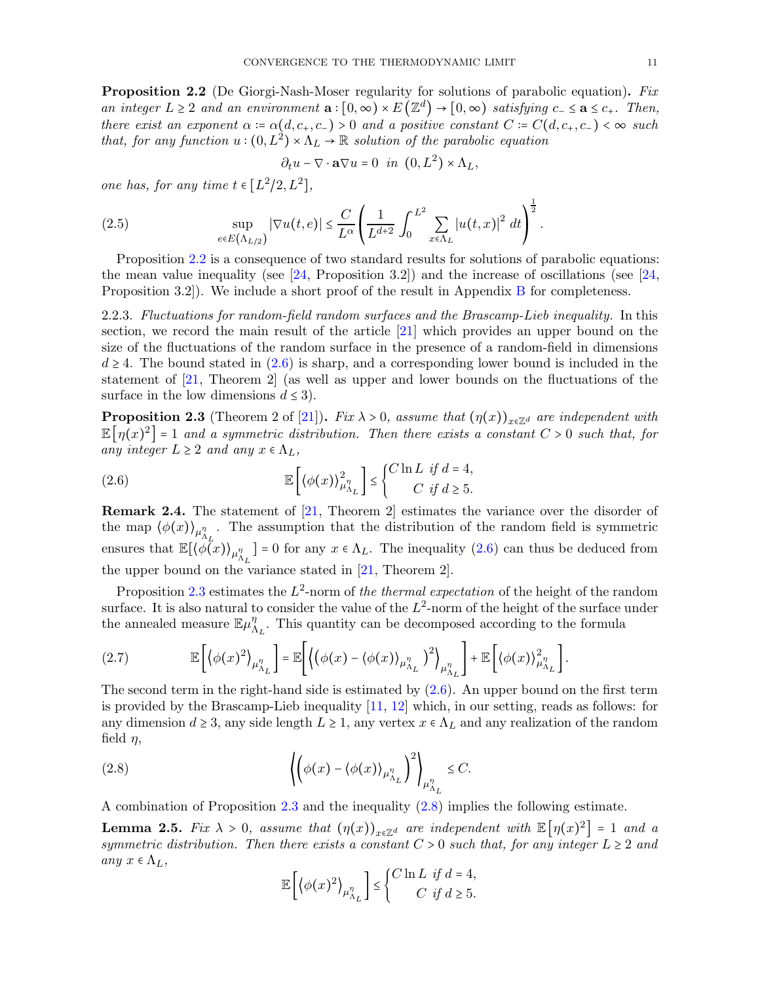<span id="page-10-0"></span>**Proposition 2.2** (De Giorgi-Nash-Moser regularity for solutions of parabolic equation). Fix an integer  $L \geq 2$  and an environment  $\mathbf{a}: [0, \infty) \times E(\mathbb{Z}^d) \to [0, \infty)$  satisfying  $c_- \leq \mathbf{a} \leq c_+$ . Then, there exist an exponent  $\alpha = \alpha(d, c_+, c_-) > 0$  and a positive constant  $C = C(d, c_+, c_-) < \infty$  such that, for any function  $u:(0,L^2)\times \Lambda_L \to \mathbb{R}$  solution of the parabolic equation

$$
\partial_t u - \nabla \cdot \mathbf{a} \nabla u = 0 \quad in \quad (0, L^2) \times \Lambda_L,
$$

one has, for any time  $t \in [L^2/2, L^2]$ ,

(2.5) 
$$
\sup_{e \in E(\Lambda_{L/2})} |\nabla u(t,e)| \leq \frac{C}{L^{\alpha}} \left( \frac{1}{L^{d+2}} \int_0^{L^2} \sum_{x \in \Lambda_L} |u(t,x)|^2 dt \right)^{\frac{1}{2}}.
$$

Proposition [2.2](#page-10-0) is a consequence of two standard results for solutions of parabolic equations: the mean value inequality (see  $[24,$  Proposition 3.2)) and the increase of oscillations (see  $[24,$ Proposition 3.2]). We include a short proof of the result in Appendix [B](#page-19-0) for completeness.

2.2.3. Fluctuations for random-field random surfaces and the Brascamp-Lieb inequality. In this section, we record the main result of the article [\[21\]](#page-21-5) which provides an upper bound on the size of the fluctuations of the random surface in the presence of a random-field in dimensions  $d \geq 4$ . The bound stated in [\(2.6\)](#page-10-2) is sharp, and a corresponding lower bound is included in the statement of [\[21,](#page-21-5) Theorem 2] (as well as upper and lower bounds on the fluctuations of the surface in the low dimensions  $d \leq 3$ .

<span id="page-10-1"></span>**Proposition 2.3** (Theorem 2 of [\[21\]](#page-21-5)). Fix  $\lambda > 0$ , assume that  $(\eta(x))_{x \in \mathbb{Z}^d}$  are independent with  $\mathbb{E}[\eta(x)^2] = 1$  and a symmetric distribution. Then there exists a constant  $C > 0$  such that, for any integer  $L \geq 2$  and any  $x \in \Lambda_L$ ,

<span id="page-10-2"></span>(2.6) 
$$
\mathbb{E}\left[\left\langle \phi(x) \right\rangle_{\mu_{\Lambda_L}}^2\right] \leq \begin{cases} C \ln L & \text{if } d = 4, \\ C & \text{if } d \geq 5. \end{cases}
$$

**Remark 2.4.** The statement of  $[21,$  Theorem 2 estimates the variance over the disorder of the map  $\langle \phi(x) \rangle_{\mu_{\Lambda_L}^{\eta}}$ . The assumption that the distribution of the random field is symmetric ensures that  $\mathbb{E}[\langle \phi(x) \rangle_{\mu_{\Lambda_L}}] = 0$  for any  $x \in \Lambda_L$ . The inequality  $(2.6)$  can thus be deduced from the upper bound on the variance stated in [\[21,](#page-21-5) Theorem 2].

Proposition [2.3](#page-10-1) estimates the  $L^2$ -norm of the thermal expectation of the height of the random surface. It is also natural to consider the value of the  $L^2$ -norm of the height of the surface under the annealed measure  $\mathbb{E}\mu_{\Lambda_L}^{\eta}$ . This quantity can be decomposed according to the formula

(2.7) 
$$
\mathbb{E}\left[\left\langle \phi(x)^2 \right\rangle_{\mu_{\Lambda_L}^{\eta}}\right] = \mathbb{E}\left[\left\langle \left(\phi(x) - \langle \phi(x) \rangle_{\mu_{\Lambda_L}^{\eta}}\right)^2 \right\rangle_{\mu_{\Lambda_L}^{\eta}}\right] + \mathbb{E}\left[\left\langle \phi(x) \right\rangle_{\mu_{\Lambda_L}^{\eta}}^2\right].
$$

The second term in the right-hand side is estimated by  $(2.6)$ . An upper bound on the first term is provided by the Brascamp-Lieb inequality [\[11,](#page-20-2) [12\]](#page-20-3) which, in our setting, reads as follows: for any dimension  $d \geq 3$ , any side length  $L \geq 1$ , any vertex  $x \in \Lambda_L$  and any realization of the random field  $\eta$ ,

(2.8) 
$$
\left\langle \left( \phi(x) - \langle \phi(x) \rangle_{\mu_{\Lambda_L}^{\eta}} \right)^2 \right\rangle_{\mu_{\Lambda_L}^{\eta}} \leq C.
$$

A combination of Proposition [2.3](#page-10-1) and the inequality [\(2.8\)](#page-10-3) implies the following estimate.

<span id="page-10-4"></span>**Lemma 2.5.** Fix  $\lambda > 0$ , assume that  $(\eta(x))_{x \in \mathbb{Z}^d}$  are independent with  $\mathbb{E}[\eta(x)^2] = 1$  and a symmetric distribution. Then there exists a constant  $C > 0$  such that, for any integer  $L \geq 2$  and any  $x \in \Lambda_L$ ,

<span id="page-10-3"></span>
$$
\mathbb{E}\left[\left\langle \phi(x)^2 \right\rangle_{\mu_{\Lambda_L}^{\eta}}\right] \le \begin{cases} C \ln L & \text{if } d = 4, \\ C & \text{if } d \ge 5. \end{cases}
$$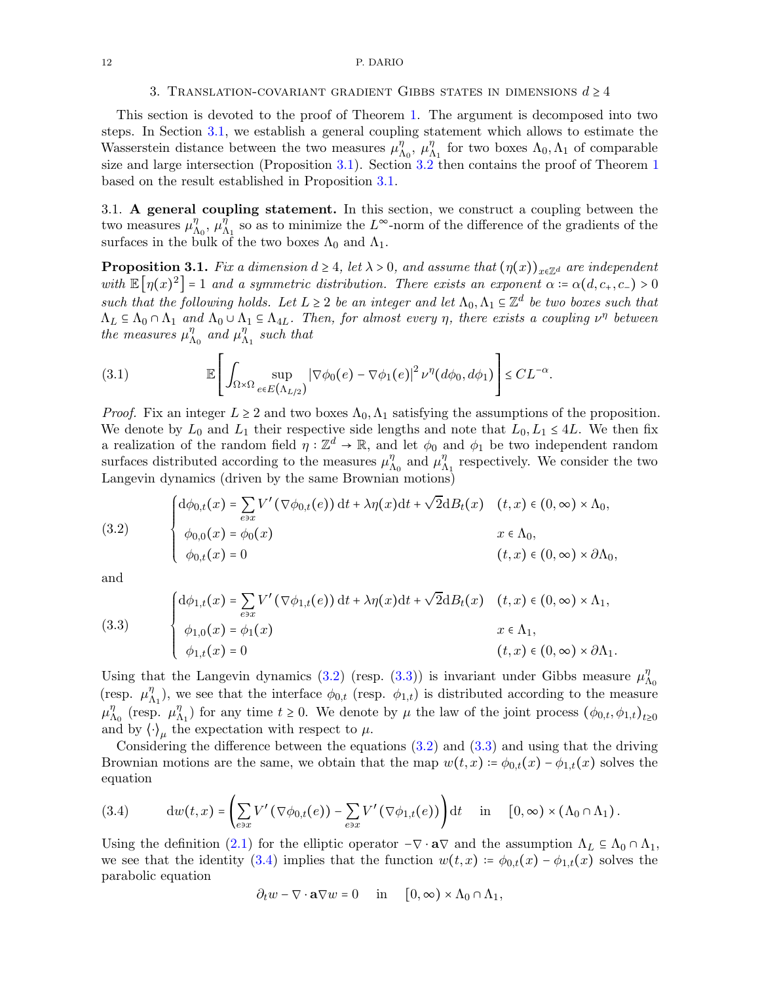#### <span id="page-11-0"></span>12 P. DARIO

### 3. TRANSLATION-COVARIANT GRADIENT GIBBS STATES IN DIMENSIONS  $d \geq 4$

This section is devoted to the proof of Theorem [1.](#page-2-0) The argument is decomposed into two steps. In Section [3.1,](#page-11-1) we establish a general coupling statement which allows to estimate the Wasserstein distance between the two measures  $\mu_{\Lambda_0}^{\eta}$ ,  $\mu_{\Lambda_1}^{\eta}$  for two boxes  $\Lambda_0, \Lambda_1$  of comparable size and large intersection (Proposition [3.1\)](#page-11-2). Section  $3.2$  then contains the proof of Theorem [1](#page-2-0) based on the result established in Proposition [3.1.](#page-11-2)

<span id="page-11-1"></span>3.1. A general coupling statement. In this section, we construct a coupling between the two measures  $\mu_{\Lambda_0}^{\eta}$ ,  $\mu_{\Lambda_1}^{\tilde{\eta}}$  so as to minimize the L<sup>∞</sup>-norm of the difference of the gradients of the surfaces in the bulk of the two boxes  $\Lambda_0$  and  $\Lambda_1$ .

<span id="page-11-2"></span>**Proposition 3.1.** Fix a dimension  $d \geq 4$ , let  $\lambda > 0$ , and assume that  $(\eta(x))_{x \in \mathbb{Z}^d}$  are independent with  $\mathbb{E}[\eta(x)^2] = 1$  and a symmetric distribution. There exists an exponent  $\alpha = \alpha(d, c_+, c_-) > 0$ such that the following holds. Let  $L \geq 2$  be an integer and let  $\Lambda_0, \Lambda_1 \subseteq \mathbb{Z}^d$  be two boxes such that  $\Lambda_L \subseteq \Lambda_0 \cap \Lambda_1$  and  $\Lambda_0 \cup \Lambda_1 \subseteq \Lambda_{4L}$ . Then, for almost every  $\eta$ , there exists a coupling  $\nu^{\eta}$  between the measures  $\mu_{\Lambda_0}^{\eta}$  and  $\mu_{\Lambda_1}^{\eta}$  such that

(3.1) 
$$
\mathbb{E}\left[\int_{\Omega\times\Omega}\sup_{e\in E(\Lambda_{L/2})}|\nabla\phi_0(e)-\nabla\phi_1(e)|^2\nu^{\eta}(d\phi_0,d\phi_1)\right]\leq CL^{-\alpha}.
$$

*Proof.* Fix an integer  $L \geq 2$  and two boxes  $\Lambda_0, \Lambda_1$  satisfying the assumptions of the proposition. We denote by  $L_0$  and  $L_1$  their respective side lengths and note that  $L_0, L_1 \leq 4L$ . We then fix a realization of the random field  $\eta : \mathbb{Z}^d \to \mathbb{R}$ , and let  $\phi_0$  and  $\phi_1$  be two independent random surfaces distributed according to the measures  $\mu_{\Lambda_0}^{\eta}$  and  $\mu_{\Lambda_1}^{\eta}$  respectively. We consider the two Langevin dynamics (driven by the same Brownian motions)

<span id="page-11-3"></span>(3.2) 
$$
\begin{cases} d\phi_{0,t}(x) = \sum_{e \ni x} V'(\nabla \phi_{0,t}(e)) dt + \lambda \eta(x) dt + \sqrt{2} dB_t(x) & (t, x) \in (0, \infty) \times \Lambda_0, \\ \phi_{0,0}(x) = \phi_0(x) & x \in \Lambda_0, \\ \phi_{0,t}(x) = 0 & (t, x) \in (0, \infty) \times \partial \Lambda_0, \end{cases}
$$

and

<span id="page-11-4"></span>(3.3)  

$$
\begin{cases}\n\text{d}\phi_{1,t}(x) = \sum_{e \ni x} V'(\nabla \phi_{1,t}(e)) \, \text{d}t + \lambda \eta(x) \text{d}t + \sqrt{2} \text{d}B_t(x) & (t, x) \in (0, \infty) \times \Lambda_1, \\
\phi_{1,0}(x) = \phi_1(x) & x \in \Lambda_1, \\
\phi_{1,t}(x) = 0 & (t, x) \in (0, \infty) \times \partial \Lambda_1.\n\end{cases}
$$

Using that the Langevin dynamics [\(3.2\)](#page-11-3) (resp. [\(3.3\)](#page-11-4)) is invariant under Gibbs measure  $\mu_{\Lambda_0}^{\eta}$ (resp.  $\mu_{\Lambda_1}^{\eta}$ ), we see that the interface  $\phi_{0,t}$  (resp.  $\phi_{1,t}$ ) is distributed according to the measure  $\mu_{\Lambda_0}^{\eta}$  (resp.  $\mu_{\Lambda_1}^{\eta}$ ) for any time  $t \geq 0$ . We denote by  $\mu$  the law of the joint process  $(\phi_{0,t}, \phi_{1,t})_{t \geq 0}$ and by  $\langle \cdot \rangle_{\mu}$  the expectation with respect to  $\mu$ .

Considering the difference between the equations  $(3.2)$  and  $(3.3)$  and using that the driving Brownian motions are the same, we obtain that the map  $w(t, x) = \phi_{0,t}(x) - \phi_{1,t}(x)$  solves the equation

<span id="page-11-5"></span>(3.4) 
$$
\mathrm{d}w(t,x) = \left(\sum_{e \ni x} V'(\nabla \phi_{0,t}(e)) - \sum_{e \ni x} V'(\nabla \phi_{1,t}(e))\right) \mathrm{d}t \quad \text{in} \quad [0,\infty) \times (\Lambda_0 \cap \Lambda_1).
$$

Using the definition [\(2.1\)](#page-8-0) for the elliptic operator  $-\nabla \cdot \mathbf{a} \nabla$  and the assumption  $\Lambda_L \subseteq \Lambda_0 \cap \Lambda_1$ , we see that the identity [\(3.4\)](#page-11-5) implies that the function  $w(t, x) \coloneqq \phi_{0,t}(x) - \phi_{1,t}(x)$  solves the parabolic equation

 $\partial_t w - \nabla \cdot \mathbf{a} \nabla w = 0$  in  $[0, \infty) \times \Lambda_0 \cap \Lambda_1$ ,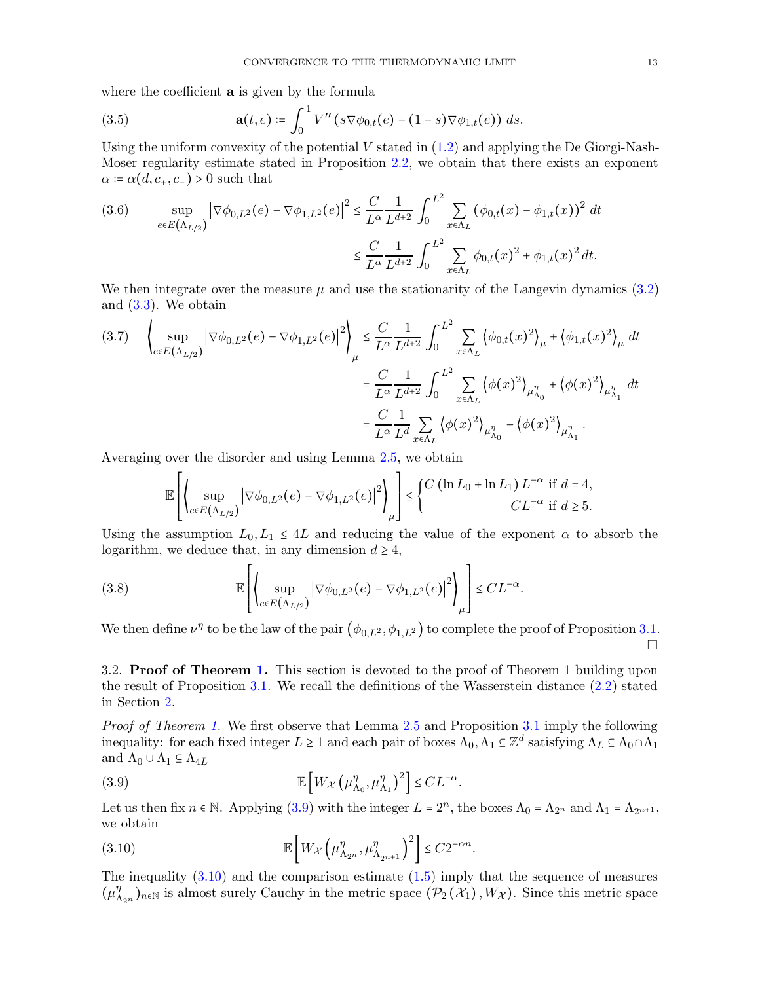where the coefficient **a** is given by the formula

<span id="page-12-0"></span>(3.5) 
$$
\mathbf{a}(t,e) \coloneqq \int_0^1 V''(s \nabla \phi_{0,t}(e) + (1-s) \nabla \phi_{1,t}(e)) ds.
$$

Using the uniform convexity of the potential  $V$  stated in  $(1.2)$  and applying the De Giorgi-Nash-Moser regularity estimate stated in Proposition [2.2,](#page-10-0) we obtain that there exists an exponent  $\alpha$  :=  $\alpha(d, c_+, c_-) > 0$  such that

(3.6) 
$$
\sup_{e \in E(\Lambda_{L/2})} |\nabla \phi_{0,L^2}(e) - \nabla \phi_{1,L^2}(e)|^2 \leq \frac{C}{L^{\alpha}} \frac{1}{L^{d+2}} \int_0^{L^2} \sum_{x \in \Lambda_L} (\phi_{0,t}(x) - \phi_{1,t}(x))^2 dt
$$

$$
\leq \frac{C}{L^{\alpha}} \frac{1}{L^{d+2}} \int_0^{L^2} \sum_{x \in \Lambda_L} \phi_{0,t}(x)^2 + \phi_{1,t}(x)^2 dt.
$$

We then integrate over the measure  $\mu$  and use the stationarity of the Langevin dynamics [\(3.2\)](#page-11-3) and [\(3.3\)](#page-11-4). We obtain

$$
(3.7) \quad \left\{ \sup_{e \in E(\Lambda_{L/2})} |\nabla \phi_{0,L^2}(e) - \nabla \phi_{1,L^2}(e)|^2 \right\}_{\mu} \le \frac{C}{L^{\alpha}} \frac{1}{L^{d+2}} \int_0^{L^2} \sum_{x \in \Lambda_L} \left\langle \phi_{0,t}(x)^2 \right\rangle_{\mu} + \left\langle \phi_{1,t}(x)^2 \right\rangle_{\mu} dt
$$

$$
= \frac{C}{L^{\alpha}} \frac{1}{L^{d+2}} \int_0^{L^2} \sum_{x \in \Lambda_L} \left\langle \phi(x)^2 \right\rangle_{\mu_{\Lambda_0}^{\eta}} + \left\langle \phi(x)^2 \right\rangle_{\mu_{\Lambda_1}^{\eta}} dt
$$

$$
= \frac{C}{L^{\alpha}} \frac{1}{L^{d}} \sum_{x \in \Lambda_L} \left\langle \phi(x)^2 \right\rangle_{\mu_{\Lambda_0}^{\eta}} + \left\langle \phi(x)^2 \right\rangle_{\mu_{\Lambda_1}^{\eta}}.
$$

Averaging over the disorder and using Lemma [2.5,](#page-10-4) we obtain

<span id="page-12-4"></span>
$$
\mathbb{E}\left[\left(\sup_{e\in E(\Lambda_{L/2})} |\nabla \phi_{0,L^2}(e) - \nabla \phi_{1,L^2}(e)|^2\right)\right] \leq \begin{cases} C\left(\ln L_0 + \ln L_1\right) L^{-\alpha} & \text{if } d = 4, \\ C L^{-\alpha} & \text{if } d \geq 5. \end{cases}
$$

Using the assumption  $L_0, L_1 \leq 4L$  and reducing the value of the exponent  $\alpha$  to absorb the logarithm, we deduce that, in any dimension  $d \geq 4$ ,

(3.8) 
$$
\mathbb{E}\left[\left\{\sup_{e\in E(\Lambda_{L/2})}|\nabla\phi_{0,L^2}(e)-\nabla\phi_{1,L^2}(e)|^2\right\}\right] \leq CL^{-\alpha}.
$$

We then define  $\nu^{\eta}$  to be the law of the pair  $(\phi_{0,L^2}, \phi_{1,L^2})$  to complete the proof of Proposition [3.1.](#page-11-2)  $\Box$ 

<span id="page-12-1"></span>3.2. **Proof of Theorem [1.](#page-2-0)** This section is devoted to the proof of Theorem [1](#page-2-0) building upon the result of Proposition [3.1.](#page-11-2) We recall the definitions of the Wasserstein distance [\(2.2\)](#page-9-2) stated in Section [2.](#page-7-0)

Proof of Theorem [1.](#page-2-0) We first observe that Lemma [2.5](#page-10-4) and Proposition [3.1](#page-11-2) imply the following inequality: for each fixed integer  $L \ge 1$  and each pair of boxes  $\Lambda_0, \Lambda_1 \subseteq \mathbb{Z}^d$  satisfying  $\Lambda_L \subseteq \Lambda_0 \cap \Lambda_1$ and  $\Lambda_0 \cup \Lambda_1 \subseteq \Lambda_{4L}$ 

<span id="page-12-2"></span>(3.9) 
$$
\mathbb{E}\left[W_{\mathcal{X}}\left(\mu_{\Lambda_{0}}^{\eta}, \mu_{\Lambda_{1}}^{\eta}\right)^{2}\right] \leq CL^{-\alpha}.
$$

Let us then fix  $n \in \mathbb{N}$ . Applying [\(3.9\)](#page-12-2) with the integer  $L = 2^n$ , the boxes  $\Lambda_0 = \Lambda_{2^n}$  and  $\Lambda_1 = \Lambda_{2^{n+1}}$ , we obtain

<span id="page-12-3"></span>(3.10) 
$$
\mathbb{E}\left[W_{\mathcal{X}}\left(\mu_{\Lambda_{2^n}}^{\eta}, \mu_{\Lambda_{2^{n+1}}}^{\eta}\right)^2\right] \leq C2^{-\alpha n}.
$$

The inequality  $(3.10)$  and the comparison estimate  $(1.5)$  imply that the sequence of measures  $(\mu_{\Lambda_{2n}}^{\eta})_{n\in\mathbb{N}}$  is almost surely Cauchy in the metric space  $(\mathcal{P}_2(\mathcal{X}_1), W_{\mathcal{X}})$ . Since this metric space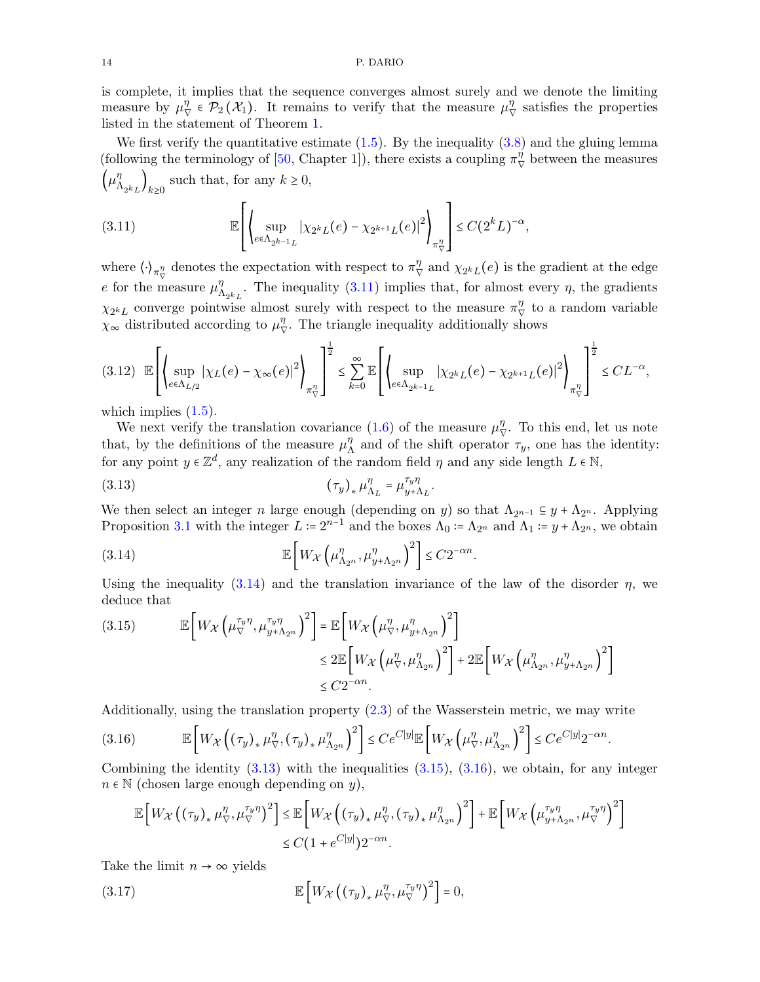is complete, it implies that the sequence converges almost surely and we denote the limiting measure by  $\mu_{\nabla}^{\eta} \in \mathcal{P}_2(\mathcal{X}_1)$ . It remains to verify that the measure  $\mu_{\nabla}^{\eta}$  satisfies the properties listed in the statement of Theorem [1.](#page-2-0)

We first verify the quantitative estimate  $(1.5)$ . By the inequality  $(3.8)$  and the gluing lemma (following the terminology of [\[50,](#page-22-4) Chapter 1]), there exists a coupling  $\pi_{\nabla}^{\eta}$  between the measures  $\left(\mu_{\Lambda_{2^k L}}^{\eta}\right)_{k\geq 0}$  such that, for any  $k \geq 0$ ,

<span id="page-13-0"></span>(3.11) 
$$
\mathbb{E}\left[\left\{\sup_{e\in\Lambda_{2^{k-1}L}}|\chi_{2^kL}(e)-\chi_{2^{k+1}L}(e)|^2\right\}_{\pi^{\eta}_{\nabla}}\right] \leq C(2^kL)^{-\alpha},
$$

where  $\langle \cdot \rangle_{\pi^{\eta}_{\nabla}}$  denotes the expectation with respect to  $\pi^{\eta}_{\nabla}$  and  $\chi_{2^k L}(e)$  is the gradient at the edge e for the measure  $\mu_{\Lambda_{2k_L}}^{\eta}$ . The inequality [\(3.11\)](#page-13-0) implies that, for almost every  $\eta$ , the gradients  $\chi_{2^kL}$  converge pointwise almost surely with respect to the measure  $\pi_{\nabla}^{\eta}$  to a random variable  $\chi_{\infty}$  distributed according to  $\mu_{\nabla}^{\eta}$ . The triangle inequality additionally shows

<span id="page-13-5"></span>
$$
(3.12) \mathbb{E}\left[\left(\sup_{e\in\Lambda_{L/2}}|\chi_L(e)-\chi_\infty(e)|^2\right)_{\pi^{\eta}_{\nabla}}\right]^{\frac{1}{2}} \leq \sum_{k=0}^{\infty}\mathbb{E}\left[\left(\sup_{e\in\Lambda_{2^{k-1}L}}|\chi_{2^kL}(e)-\chi_{2^{k+1}L}(e)|^2\right)_{\pi^{\eta}_{\nabla}}\right]^{\frac{1}{2}} \leq CL^{-\alpha},
$$

which implies  $(1.5)$ .

We next verify the translation covariance [\(1.6\)](#page-3-3) of the measure  $\mu^{\eta}_{\nabla}$ . To this end, let us note that, by the definitions of the measure  $\mu_{\Lambda}^{\eta}$  and of the shift operator  $\tau_y$ , one has the identity: for any point  $y \in \mathbb{Z}^d$ , any realization of the random field  $\eta$  and any side length  $L \in \mathbb{N}$ ,

$$
(3.13)\qquad \qquad (\tau_y)_* \mu_{\Lambda_L}^\eta = \mu_{y+\Lambda_L}^{\tau_y \eta}
$$

We then select an integer n large enough (depending on y) so that  $\Lambda_{2^{n-1}} \subseteq y + \Lambda_{2^n}$ . Applying Proposition [3.1](#page-11-2) with the integer  $L := 2^{n-1}$  and the boxes  $\Lambda_0 := \Lambda_{2^n}$  and  $\Lambda_1 := y + \Lambda_{2^n}$ , we obtain

<span id="page-13-2"></span><span id="page-13-1"></span>.

.

(3.14) 
$$
\mathbb{E}\left[W_{\mathcal{X}}\left(\mu_{\Lambda_{2^n}}^{\eta}, \mu_{y+\Lambda_{2^n}}^{\eta}\right)^2\right] \leq C2^{-\alpha n}.
$$

Using the inequality  $(3.14)$  and the translation invariance of the law of the disorder  $\eta$ , we deduce that

<span id="page-13-3"></span>(3.15) 
$$
\mathbb{E}\left[W_{\mathcal{X}}\left(\mu_{\nabla}^{\tau_{y}\eta},\mu_{y+\Lambda_{2n}}^{\tau_{y}\eta}\right)^{2}\right] = \mathbb{E}\left[W_{\mathcal{X}}\left(\mu_{\nabla}^{\eta},\mu_{y+\Lambda_{2n}}^{\eta}\right)^{2}\right] \leq 2\mathbb{E}\left[W_{\mathcal{X}}\left(\mu_{\nabla}^{\eta},\mu_{\Lambda_{2n}}^{\eta}\right)^{2}\right] + 2\mathbb{E}\left[W_{\mathcal{X}}\left(\mu_{\Lambda_{2n}}^{\eta},\mu_{y+\Lambda_{2n}}^{\eta}\right)^{2}\right] \leq C2^{-\alpha n}.
$$

Additionally, using the translation property [\(2.3\)](#page-9-3) of the Wasserstein metric, we may write

<span id="page-13-4"></span>(3.16) 
$$
\mathbb{E}\left[W_{\mathcal{X}}\left((\tau_y)_{*}\mu_{\nabla}^{\eta},(\tau_y)_{*}\mu_{\Lambda_{2^n}}^{\eta}\right)^{2}\right] \leq Ce^{C|y|}\mathbb{E}\left[W_{\mathcal{X}}\left(\mu_{\nabla}^{\eta},\mu_{\Lambda_{2^n}}^{\eta}\right)^{2}\right] \leq Ce^{C|y|}2^{-\alpha n}
$$

Combining the identity  $(3.13)$  with the inequalities  $(3.15)$ ,  $(3.16)$ , we obtain, for any integer  $n \in \mathbb{N}$  (chosen large enough depending on y),

$$
\mathbb{E}\left[W_{\mathcal{X}}\left((\tau_y)_{*}\mu_{\nabla}^{\eta},\mu_{\nabla}^{\tau_y\eta}\right)^2\right] \leq \mathbb{E}\left[W_{\mathcal{X}}\left((\tau_y)_{*}\mu_{\nabla}^{\eta},(\tau_y)_{*}\mu_{\Lambda_{2n}}^{\eta}\right)^2\right] + \mathbb{E}\left[W_{\mathcal{X}}\left(\mu_{y+\Lambda_{2n}}^{\tau_y\eta},\mu_{\nabla}^{\tau_y\eta}\right)^2\right] \leq C\left(1 + e^{C|y|}\right)2^{-\alpha n}.
$$

Take the limit  $n \to \infty$  yields

(3.17) 
$$
\mathbb{E}\left[W_{\mathcal{X}}\left(\left(\tau_y\right)_*\mu_{\nabla}^{\eta},\mu_{\nabla}^{\tau_y\eta}\right)^2\right]=0,
$$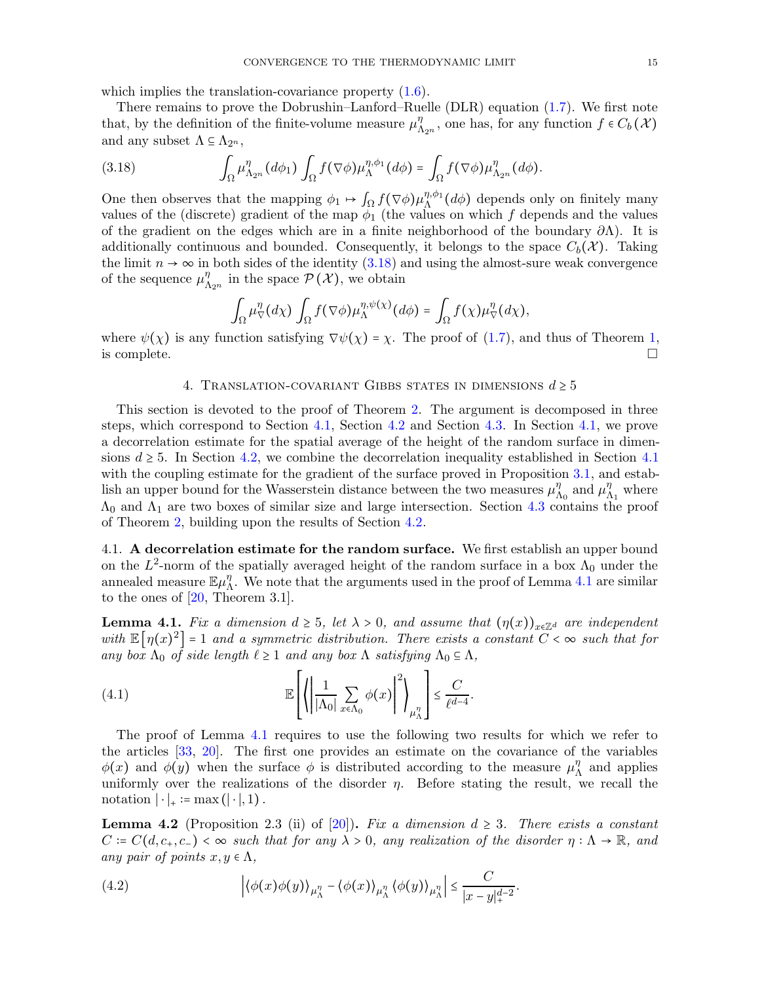which implies the translation-covariance property  $(1.6)$ .

There remains to prove the Dobrushin–Lanford–Ruelle (DLR) equation [\(1.7\)](#page-3-4). We first note that, by the definition of the finite-volume measure  $\mu_{\Lambda_{2^n}}^{\eta}$ , one has, for any function  $f \in C_b(\mathcal{X})$ and any subset  $\Lambda \subseteq \Lambda_{2^n}$ ,

<span id="page-14-3"></span>(3.18) 
$$
\int_{\Omega} \mu_{\Lambda_{2^n}}^{\eta} (d\phi_1) \int_{\Omega} f(\nabla \phi) \mu_{\Lambda}^{\eta, \phi_1} (d\phi) = \int_{\Omega} f(\nabla \phi) \mu_{\Lambda_{2^n}}^{\eta} (d\phi).
$$

One then observes that the mapping  $\phi_1 \mapsto \int_{\Omega} f(\nabla \phi) \mu_{\Lambda}^{\eta, \phi_1}(d\phi)$  depends only on finitely many values of the (discrete) gradient of the map  $\phi_1$  (the values on which f depends and the values of the gradient on the edges which are in a finite neighborhood of the boundary  $\partial\Lambda$ ). It is additionally continuous and bounded. Consequently, it belongs to the space  $C_b(\mathcal{X})$ . Taking the limit  $n \to \infty$  in both sides of the identity [\(3.18\)](#page-14-3) and using the almost-sure weak convergence of the sequence  $\mu_{\Lambda_{2^n}}^{\eta}$  in the space  $\mathcal{P}(\mathcal{X})$ , we obtain

$$
\int_{\Omega} \mu_{\nabla}^{\eta} (d\chi) \int_{\Omega} f(\nabla \phi) \mu_{\Lambda}^{\eta, \psi(\chi)} (d\phi) = \int_{\Omega} f(\chi) \mu_{\nabla}^{\eta} (d\chi),
$$

<span id="page-14-0"></span>where  $\psi(\chi)$  is any function satisfying  $\nabla \psi(\chi) = \chi$ . The proof of [\(1.7\)](#page-3-4), and thus of Theorem [1,](#page-2-0) is complete. is complete.  $\Box$ 

### 4. TRANSLATION-COVARIANT GIBBS STATES IN DIMENSIONS  $d \geq 5$

This section is devoted to the proof of Theorem [2.](#page-3-1) The argument is decomposed in three steps, which correspond to Section [4.1,](#page-14-2) Section [4.2](#page-16-0) and Section [4.3.](#page-17-0) In Section [4.1,](#page-14-2) we prove a decorrelation estimate for the spatial average of the height of the random surface in dimensions  $d \geq 5$ . In Section [4.2,](#page-16-0) we combine the decorrelation inequality established in Section [4.1](#page-14-2) with the coupling estimate for the gradient of the surface proved in Proposition [3.1,](#page-11-2) and establish an upper bound for the Wasserstein distance between the two measures  $\mu_{\Lambda_0}^{\eta}$  and  $\mu_{\Lambda_1}^{\eta}$  where  $\Lambda_0$  and  $\Lambda_1$  are two boxes of similar size and large intersection. Section [4.3](#page-17-0) contains the proof of Theorem [2,](#page-3-1) building upon the results of Section [4.2.](#page-16-0)

<span id="page-14-2"></span>4.1. A decorrelation estimate for the random surface. We first establish an upper bound on the  $L^2$ -norm of the spatially averaged height of the random surface in a box  $\Lambda_0$  under the annealed measure  $\mathbb{E}\mu_{\Lambda}^{\eta}$ . We note that the arguments used in the proof of Lemma [4.1](#page-14-4) are similar to the ones of  $[20,$  Theorem 3.1].

<span id="page-14-4"></span>**Lemma 4.1.** Fix a dimension  $d \geq 5$ , let  $\lambda > 0$ , and assume that  $(\eta(x))_{x \in \mathbb{Z}^d}$  are independent with  $\mathbb{E}[\eta(x)^2] = 1$  and a symmetric distribution. There exists a constant  $C < \infty$  such that for any box  $\Lambda_0$  of side length  $\ell \geq 1$  and any box  $\Lambda$  satisfying  $\Lambda_0 \subseteq \Lambda$ ,

.

<span id="page-14-6"></span>(4.1) 
$$
\mathbb{E}\left[\left\langle \left|\frac{1}{|\Lambda_0|} \sum_{x \in \Lambda_0} \phi(x)\right|^2 \right\rangle_{\mu_{\Lambda}^{\eta}}\right] \leq \frac{C}{\ell^{d-4}}
$$

The proof of Lemma [4.1](#page-14-4) requires to use the following two results for which we refer to the articles [\[33,](#page-21-27) [20\]](#page-21-4). The first one provides an estimate on the covariance of the variables  $\phi(x)$  and  $\phi(y)$  when the surface  $\phi$  is distributed according to the measure  $\mu_{\Lambda}^{\eta}$  and applies uniformly over the realizations of the disorder  $\eta$ . Before stating the result, we recall the notation  $|\cdot|_* := \max(|\cdot|, 1)$ .

<span id="page-14-1"></span>**Lemma 4.2** (Proposition 2.3 (ii) of [\[20\]](#page-21-4)). Fix a dimension  $d \geq 3$ . There exists a constant  $C = C(d, c_+, c_-) < \infty$  such that for any  $\lambda > 0$ , any realization of the disorder  $\eta : \Lambda \to \mathbb{R}$ , and any pair of points  $x, y \in \Lambda$ ,

<span id="page-14-5"></span>(4.2) 
$$
\left| \langle \phi(x)\phi(y) \rangle_{\mu_{\Lambda}^{\eta}} - \langle \phi(x) \rangle_{\mu_{\Lambda}^{\eta}} \langle \phi(y) \rangle_{\mu_{\Lambda}^{\eta}} \right| \leq \frac{C}{|x-y|_{+}^{d-2}}.
$$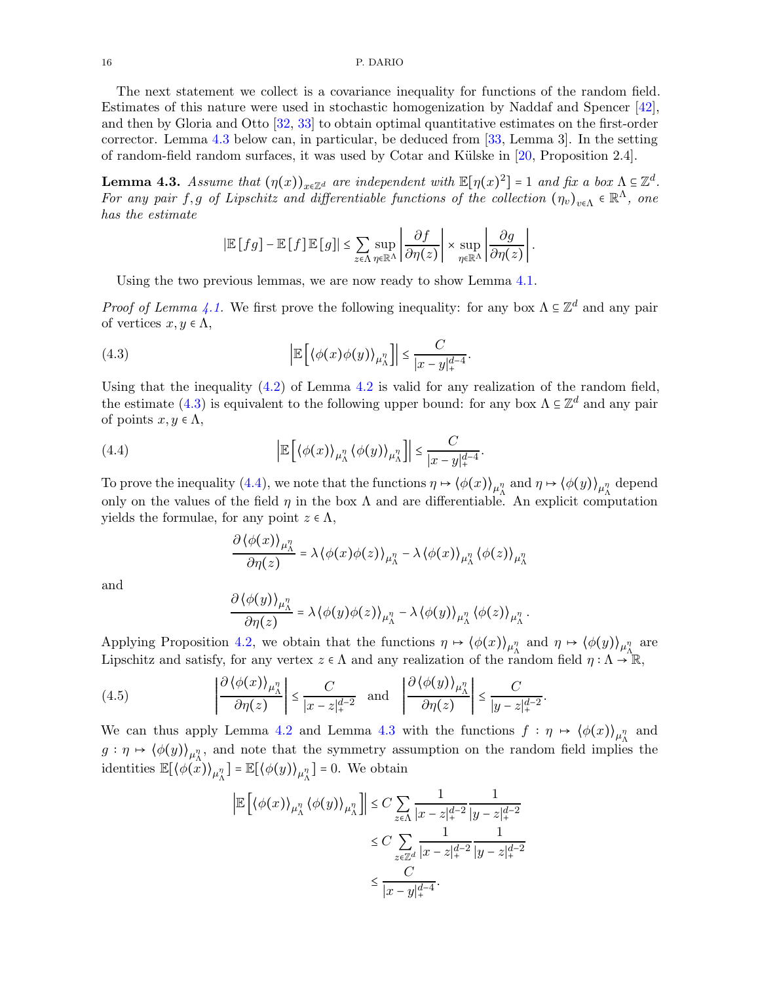The next statement we collect is a covariance inequality for functions of the random field. Estimates of this nature were used in stochastic homogenization by Naddaf and Spencer [\[42\]](#page-21-28), and then by Gloria and Otto [\[32,](#page-21-29) [33\]](#page-21-27) to obtain optimal quantitative estimates on the first-order corrector. Lemma [4.3](#page-15-0) below can, in particular, be deduced from [\[33,](#page-21-27) Lemma 3]. In the setting of random-field random surfaces, it was used by Cotar and K¨ulske in [\[20,](#page-21-4) Proposition 2.4].

<span id="page-15-0"></span>**Lemma 4.3.** Assume that  $(\eta(x))_{x \in \mathbb{Z}^d}$  are independent with  $\mathbb{E}[\eta(x)^2] = 1$  and fix a box  $\Lambda \subseteq \mathbb{Z}^d$ . For any pair f, g of Lipschitz and differentiable functions of the collection  $(\eta_v)_{v \in \Lambda} \in \mathbb{R}^{\Lambda}$ , one has the estimate

<span id="page-15-1"></span>
$$
|\mathbb{E}[fg] - \mathbb{E}[f]\mathbb{E}[g]| \le \sum_{z \in \Lambda} \sup_{\eta \in \mathbb{R}^{\Lambda}} \left| \frac{\partial f}{\partial \eta(z)} \right| \times \sup_{\eta \in \mathbb{R}^{\Lambda}} \left| \frac{\partial g}{\partial \eta(z)} \right|.
$$

Using the two previous lemmas, we are now ready to show Lemma [4.1.](#page-14-4)

*Proof of Lemma [4.1.](#page-14-4)* We first prove the following inequality: for any box  $\Lambda \subseteq \mathbb{Z}^d$  and any pair of vertices  $x, y \in \Lambda$ ,

(4.3) 
$$
\left| \mathbb{E} \left[ \langle \phi(x) \phi(y) \rangle_{\mu_{\Lambda}^{\eta}} \right] \right| \leq \frac{C}{|x - y|_{+}^{d - 4}}.
$$

Using that the inequality [\(4.2\)](#page-14-5) of Lemma [4.2](#page-14-1) is valid for any realization of the random field, the estimate [\(4.3\)](#page-15-1) is equivalent to the following upper bound: for any box  $\Lambda \subseteq \mathbb{Z}^d$  and any pair of points  $x, y \in \Lambda$ ,

(4.4) 
$$
\left| \mathbb{E} \left[ \langle \phi(x) \rangle_{\mu_{\Lambda}^{\eta}} \langle \phi(y) \rangle_{\mu_{\Lambda}^{\eta}} \right] \right| \leq \frac{C}{|x - y|_{+}^{d - 4}}.
$$

To prove the inequality [\(4.4\)](#page-15-2), we note that the functions  $\eta \mapsto (\phi(x))_{\mu^n_A}$  and  $\eta \mapsto (\phi(y))_{\mu^n_A}$  depend only on the values of the field  $\eta$  in the box  $\Lambda$  and are differentiable. An explicit computation yields the formulae, for any point  $z \in \Lambda$ ,

<span id="page-15-2"></span>
$$
\frac{\partial \left\langle \phi(x) \right\rangle_{\mu_\Lambda^\eta}}{\partial \eta(z)} = \lambda \left\langle \phi(x) \phi(z) \right\rangle_{\mu_\Lambda^\eta} - \lambda \left\langle \phi(x) \right\rangle_{\mu_\Lambda^\eta} \left\langle \phi(z) \right\rangle_{\mu_\Lambda^\eta}
$$

and

$$
\frac{\partial \langle \phi(y) \rangle_{\mu_{\Lambda}^{\eta}}}{\partial \eta(z)} = \lambda \langle \phi(y) \phi(z) \rangle_{\mu_{\Lambda}^{\eta}} - \lambda \langle \phi(y) \rangle_{\mu_{\Lambda}^{\eta}} \langle \phi(z) \rangle_{\mu_{\Lambda}^{\eta}}.
$$

Applying Proposition [4.2,](#page-14-1) we obtain that the functions  $\eta \mapsto (\phi(x))_{\mu^n_A}$  and  $\eta \mapsto (\phi(y))_{\mu^n_A}$  are Lipschitz and satisfy, for any vertex  $z \in \Lambda$  and any realization of the random field  $\eta : \Lambda \to \mathbb{R}$ ,

.

(4.5) 
$$
\left| \frac{\partial \left\langle \phi(x) \right\rangle_{\mu_{\Lambda}^{\eta}}}{\partial \eta(z)} \right| \leq \frac{C}{|x - z|_{+}^{d - 2}} \text{ and } \left| \frac{\partial \left\langle \phi(y) \right\rangle_{\mu_{\Lambda}^{\eta}}}{\partial \eta(z)} \right| \leq \frac{C}{|y - z|_{+}^{d - 2}}
$$

We can thus apply Lemma [4.2](#page-14-1) and Lemma [4.3](#page-15-0) with the functions  $f : \eta \mapsto (\phi(x))_{\mu^n_A}$  and  $g: \eta \mapsto (\phi(g))_{\mu^n_{\Lambda}},$  and note that the symmetry assumption on the random field implies the identities  $\mathbb{E}[\langle \phi(\hat{x}) \rangle_{\mu_{\Lambda}^{\eta}}] = \mathbb{E}[\langle \phi(y) \rangle_{\mu_{\Lambda}^{\eta}}] = 0$ . We obtain

$$
\left| \mathbb{E} \left[ \left\langle \phi(x) \right\rangle_{\mu_{\Lambda}^{\eta}} \left\langle \phi(y) \right\rangle_{\mu_{\Lambda}^{\eta}} \right] \right| \leq C \sum_{z \in \Lambda} \frac{1}{|x - z|_{+}^{d-2}} \frac{1}{|y - z|_{+}^{d-2}}
$$
  

$$
\leq C \sum_{z \in \mathbb{Z}^{d}} \frac{1}{|x - z|_{+}^{d-2}} \frac{1}{|y - z|_{+}^{d-2}}
$$
  

$$
\leq \frac{C}{|x - y|_{+}^{d-4}}.
$$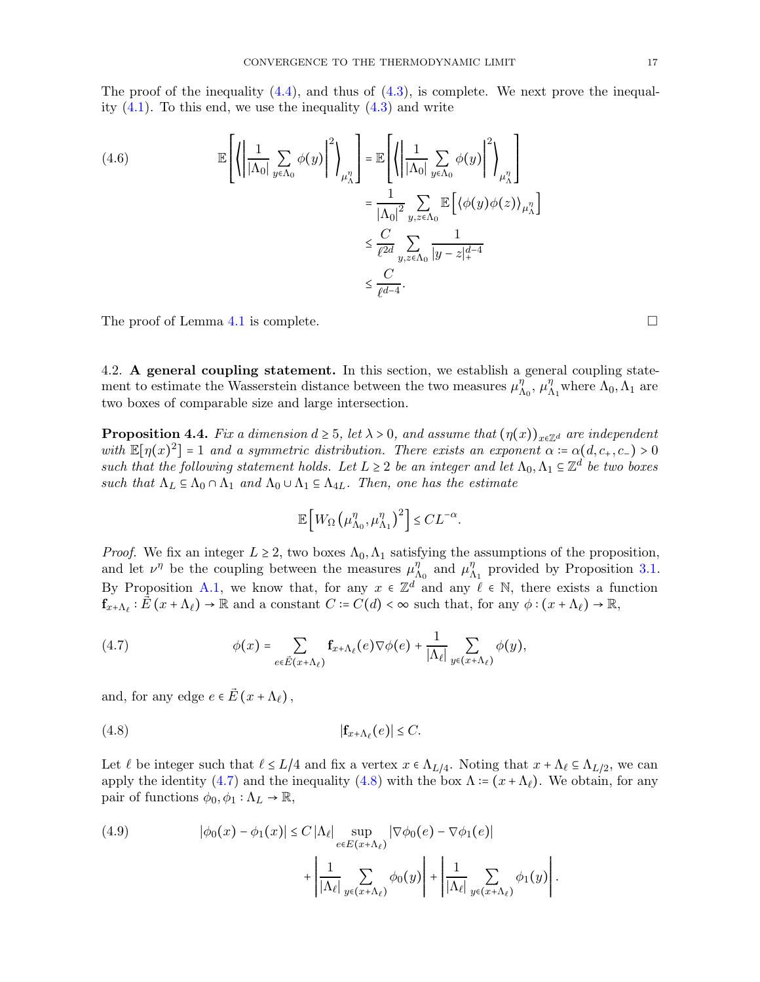The proof of the inequality  $(4.4)$ , and thus of  $(4.3)$ , is complete. We next prove the inequality  $(4.1)$ . To this end, we use the inequality  $(4.3)$  and write

(4.6)  

$$
\mathbb{E}\left[\left\{\left|\frac{1}{|\Lambda_0|}\sum_{y\in\Lambda_0}\phi(y)\right|^2\right\}_{\mu_{\Lambda}^{\eta}}\right] = \mathbb{E}\left[\left\{\left|\frac{1}{|\Lambda_0|}\sum_{y\in\Lambda_0}\phi(y)\right|^2\right\}_{\mu_{\Lambda}^{\eta}}\right]
$$

$$
= \frac{1}{|\Lambda_0|^2}\sum_{y,z\in\Lambda_0}\mathbb{E}\left[\left\langle\phi(y)\phi(z)\right\rangle_{\mu_{\Lambda}^{\eta}}\right]
$$

$$
\leq \frac{C}{\ell^{2d}}\sum_{y,z\in\Lambda_0}\frac{1}{|y-z|_+^{d-4}}
$$

$$
\leq \frac{C}{\ell^{d-4}}.
$$

The proof of Lemma [4.1](#page-14-4) is complete.  $\Box$ 

<span id="page-16-0"></span>4.2. A general coupling statement. In this section, we establish a general coupling statement to estimate the Wasserstein distance between the two measures  $\mu_{\Lambda_0}^{\eta}$ ,  $\mu_{\Lambda_1}^{\eta}$  where  $\Lambda_0$ ,  $\Lambda_1$  are two boxes of comparable size and large intersection.

<span id="page-16-3"></span>**Proposition 4.4.** Fix a dimension  $d \geq 5$ , let  $\lambda > 0$ , and assume that  $(\eta(x))_{x \in \mathbb{Z}^d}$  are independent with  $\mathbb{E}[\eta(x)^2] = 1$  and a symmetric distribution. There exists an exponent  $\alpha = \alpha(d, c_+, c_-) > 0$ such that the following statement holds. Let  $L \geq 2$  be an integer and let  $\Lambda_0, \Lambda_1 \subseteq \mathbb{Z}^d$  be two boxes such that  $\Lambda_L \subseteq \Lambda_0 \cap \Lambda_1$  and  $\Lambda_0 \cup \Lambda_1 \subseteq \Lambda_{4L}$ . Then, one has the estimate

<span id="page-16-2"></span>
$$
\mathbb{E}\left[W_\Omega\left(\mu^\eta_{\Lambda_0},\mu^\eta_{\Lambda_1}\right)^2\right] \leq CL^{-\alpha}.
$$

*Proof.* We fix an integer  $L \geq 2$ , two boxes  $\Lambda_0, \Lambda_1$  satisfying the assumptions of the proposition, and let  $\nu^{\eta}$  be the coupling between the measures  $\mu^{\eta}_{\Lambda_0}$  and  $\mu^{\eta}_{\Lambda_1}$  provided by Proposition [3.1.](#page-11-2) By Proposition [A.1,](#page-18-1) we know that, for any  $x \in \mathbb{Z}^d$  and any  $\ell \in \mathbb{N}$ , there exists a function  $\mathbf{f}_{x+\Lambda_{\ell}}:\vec{E}(x+\Lambda_{\ell})\to\mathbb{R}$  and a constant  $C\coloneqq C(d)<\infty$  such that, for any  $\phi:(x+\Lambda_{\ell})\to\mathbb{R}$ ,

<span id="page-16-1"></span>(4.7) 
$$
\phi(x) = \sum_{e \in \vec{E}(x+\Lambda_\ell)} \mathbf{f}_{x+\Lambda_\ell}(e) \nabla \phi(e) + \frac{1}{|\Lambda_\ell|} \sum_{y \in (x+\Lambda_\ell)} \phi(y),
$$

and, for any edge  $e \in \vec{E}(x + \Lambda_{\ell}),$ 

$$
|\mathbf{f}_{x+\Lambda_{\ell}}(e)| \leq C.
$$

Let  $\ell$  be integer such that  $\ell \leq L/4$  and fix a vertex  $x \in \Lambda_{L/4}$ . Noting that  $x + \Lambda_{\ell} \subseteq \Lambda_{L/2}$ , we can apply the identity [\(4.7\)](#page-16-1) and the inequality [\(4.8\)](#page-16-2) with the box  $\Lambda = (x + \Lambda_{\ell})$ . We obtain, for any pair of functions  $\phi_0, \phi_1 : \Lambda_L \to \mathbb{R}$ ,

(4.9) 
$$
|\phi_0(x) - \phi_1(x)| \le C |\Lambda_{\ell}| \sup_{e \in E(x + \Lambda_{\ell})} |\nabla \phi_0(e) - \nabla \phi_1(e)| + \left| \frac{1}{|\Lambda_{\ell}|} \sum_{y \in (x + \Lambda_{\ell})} \phi_0(y) \right| + \left| \frac{1}{|\Lambda_{\ell}|} \sum_{y \in (x + \Lambda_{\ell})} \phi_1(y) \right|.
$$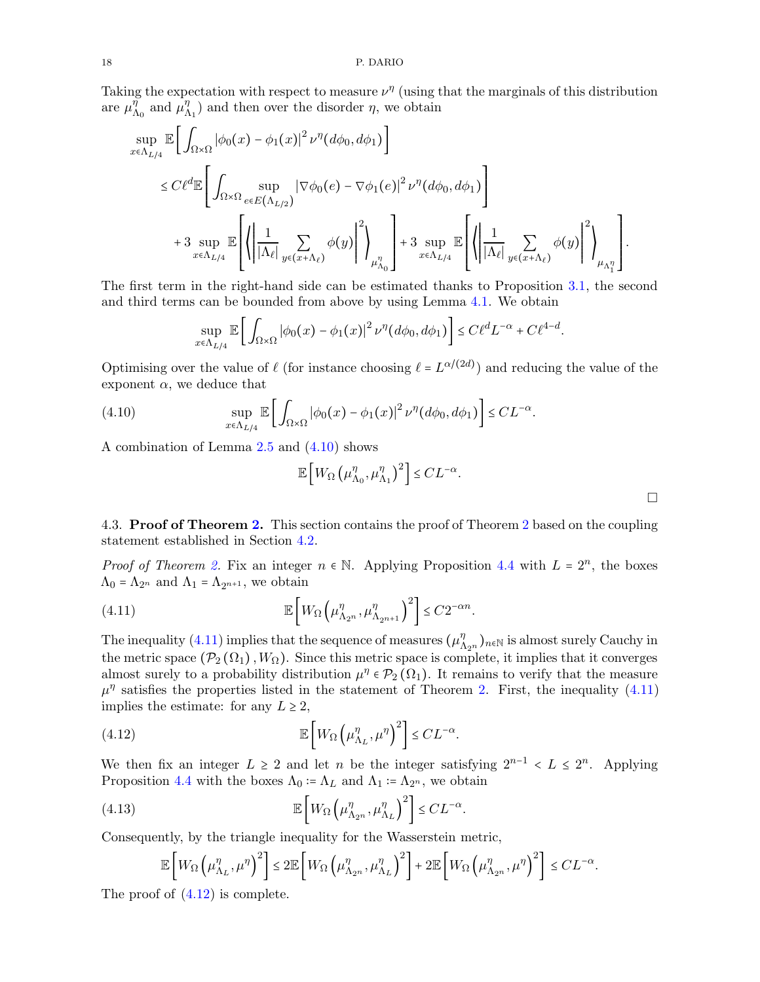Taking the expectation with respect to measure  $\nu^{\eta}$  (using that the marginals of this distribution are  $\mu_{\Lambda_0}^{\eta}$  and  $\mu_{\Lambda_1}^{\eta}$  and then over the disorder  $\eta$ , we obtain

$$
\sup_{x \in \Lambda_{L/4}} \mathbb{E} \Biggl[ \int_{\Omega \times \Omega} |\phi_0(x) - \phi_1(x)|^2 \nu^{\eta} (d\phi_0, d\phi_1) \Biggr] \n\leq C \ell^d \mathbb{E} \Biggl[ \int_{\Omega \times \Omega} \sup_{e \in E(\Lambda_{L/2})} |\nabla \phi_0(e) - \nabla \phi_1(e)|^2 \nu^{\eta} (d\phi_0, d\phi_1) \Biggr] \n+ 3 \sup_{x \in \Lambda_{L/4}} \mathbb{E} \Biggl[ \left( \left| \frac{1}{|\Lambda_{\ell}|} \sum_{y \in (x + \Lambda_{\ell})} \phi(y) \right|^2 \right)_{\mu_{\Lambda_0}^{\eta}} \Biggr] + 3 \sup_{x \in \Lambda_{L/4}} \mathbb{E} \Biggl[ \left( \left| \frac{1}{|\Lambda_{\ell}|} \sum_{y \in (x + \Lambda_{\ell})} \phi(y) \right|^2 \right)_{\mu_{\Lambda_1^{\eta}}} \Biggr].
$$

The first term in the right-hand side can be estimated thanks to Proposition [3.1,](#page-11-2) the second and third terms can be bounded from above by using Lemma [4.1.](#page-14-4) We obtain

<span id="page-17-1"></span>
$$
\sup_{x \in \Lambda_{L/4}} \mathbb{E}\left[\int_{\Omega \times \Omega} |\phi_0(x) - \phi_1(x)|^2 \nu^{\eta}(d\phi_0, d\phi_1)\right] \leq C \ell^d L^{-\alpha} + C \ell^{4-d}.
$$

Optimising over the value of  $\ell$  (for instance choosing  $\ell = L^{\alpha/(2d)}$ ) and reducing the value of the exponent  $\alpha$ , we deduce that

(4.10) 
$$
\sup_{x \in \Lambda_{L/4}} \mathbb{E}\bigg[\int_{\Omega \times \Omega} |\phi_0(x) - \phi_1(x)|^2 \nu^{\eta}(d\phi_0, d\phi_1)\bigg] \leq CL^{-\alpha}.
$$

A combination of Lemma [2.5](#page-10-4) and [\(4.10\)](#page-17-1) shows

<span id="page-17-2"></span>
$$
\mathbb{E}\left[W_{\Omega}\left(\mu_{\Lambda_0}^{\eta},\mu_{\Lambda_1}^{\eta}\right)^2\right] \leq CL^{-\alpha}.
$$

 $\Box$ 

<span id="page-17-0"></span>4.3. Proof of Theorem [2.](#page-3-1) This section contains the proof of Theorem [2](#page-3-1) based on the coupling statement established in Section [4.2.](#page-16-0)

*Proof of Theorem [2.](#page-3-1)* Fix an integer  $n \in \mathbb{N}$ . Applying Proposition [4.4](#page-16-3) with  $L = 2^n$ , the boxes  $\Lambda_0 = \Lambda_{2^n}$  and  $\Lambda_1 = \Lambda_{2^{n+1}}$ , we obtain

(4.11) 
$$
\mathbb{E}\left[W_{\Omega}\left(\mu_{\Lambda_{2^n}}^{\eta}, \mu_{\Lambda_{2^{n+1}}}^{\eta}\right)^2\right] \leq C2^{-\alpha n}.
$$

The inequality [\(4.11\)](#page-17-2) implies that the sequence of measures  $(\mu_{\Lambda_{2^n}}^{\eta})_{n\in\mathbb{N}}$  is almost surely Cauchy in the metric space  $(\mathcal{P}_2(\Omega_1), W_{\Omega})$ . Since this metric space is complete, it implies that it converges almost surely to a probability distribution  $\mu^{\eta} \in \mathcal{P}_2(\Omega_1)$ . It remains to verify that the measure  $\mu^{\eta}$  satisfies the properties listed in the statement of Theorem [2.](#page-3-1) First, the inequality [\(4.11\)](#page-17-2) implies the estimate: for any  $L \geq 2$ ,

(4.12) 
$$
\mathbb{E}\left[W_{\Omega}\left(\mu_{\Lambda_L}^{\eta}, \mu^{\eta}\right)^2\right] \leq CL^{-\alpha}.
$$

We then fix an integer  $L \geq 2$  and let n be the integer satisfying  $2^{n-1} \leq L \leq 2^n$ . Applying Proposition [4.4](#page-16-3) with the boxes  $\Lambda_0 = \Lambda_L$  and  $\Lambda_1 = \Lambda_{2^n}$ , we obtain

(4.13) 
$$
\mathbb{E}\left[W_{\Omega}\left(\mu_{\Lambda_{2n}}^{\eta}, \mu_{\Lambda_L}^{\eta}\right)^2\right] \leq CL^{-\alpha}.
$$

Consequently, by the triangle inequality for the Wasserstein metric,

<span id="page-17-3"></span>
$$
\mathbb{E}\left[W_{\Omega}\left(\mu_{\Lambda_L}^{\eta},\mu^{\eta}\right)^2\right] \leq 2\mathbb{E}\left[W_{\Omega}\left(\mu_{\Lambda_{2^n}}^{\eta},\mu_{\Lambda_L}^{\eta}\right)^2\right] + 2\mathbb{E}\left[W_{\Omega}\left(\mu_{\Lambda_{2^n}}^{\eta},\mu^{\eta}\right)^2\right] \leq CL^{-\alpha}.
$$

The proof of  $(4.12)$  is complete.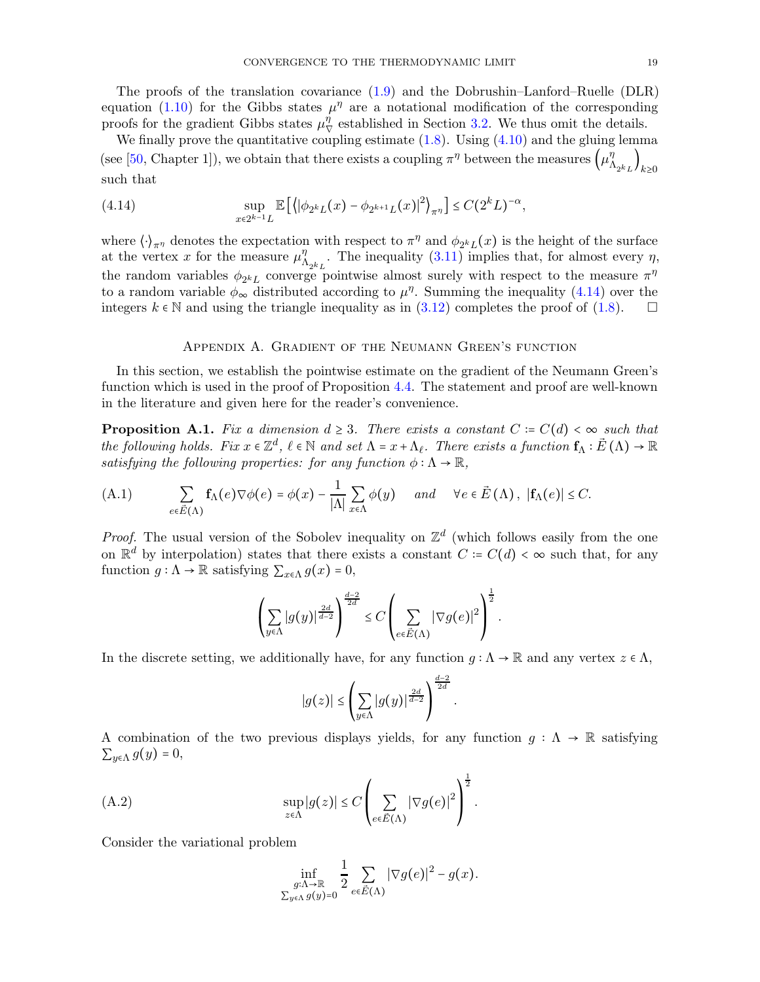The proofs of the translation covariance [\(1.9\)](#page-3-5) and the Dobrushin–Lanford–Ruelle (DLR) equation [\(1.10\)](#page-3-6) for the Gibbs states  $\mu^{\eta}$  are a notational modification of the corresponding proofs for the gradient Gibbs states  $\mu_{\nabla}^{\eta}$  established in Section [3.2.](#page-12-1) We thus omit the details.

We finally prove the quantitative coupling estimate  $(1.8)$ . Using  $(4.10)$  and the gluing lemma (see [\[50,](#page-22-4) Chapter 1]), we obtain that there exists a coupling  $\pi^{\eta}$  between the measures  $(\mu^{\eta}_{\Lambda_{2^k L}})_{k \geq 0}$ such that

<span id="page-18-2"></span>(4.14) 
$$
\sup_{x \in 2^{k-1}L} \mathbb{E} \left[ \left\langle |\phi_{2^k L}(x) - \phi_{2^{k+1} L}(x)|^2 \right\rangle_{\pi^{\eta}} \right] \leq C (2^k L)^{-\alpha},
$$

where  $\langle \cdot \rangle_{\pi^{\eta}}$  denotes the expectation with respect to  $\pi^{\eta}$  and  $\phi_{2^k L}(x)$  is the height of the surface at the vertex x for the measure  $\mu_{\Lambda_{2^kL}}^{\eta}$ . The inequality [\(3.11\)](#page-13-0) implies that, for almost every  $\eta$ , the random variables  $\phi_{2^kL}$  converge pointwise almost surely with respect to the measure  $\pi^{\eta}$ to a random variable  $\phi_{\infty}$  distributed according to  $\mu^{n}$ . Summing the inequality [\(4.14\)](#page-18-2) over the integers  $k \in \mathbb{N}$  and using the triangle inequality as in [\(3.12\)](#page-13-5) completes the proof of [\(1.8\)](#page-3-2).  $\Box$ 

### Appendix A. Gradient of the Neumann Green's function

<span id="page-18-0"></span>In this section, we establish the pointwise estimate on the gradient of the Neumann Green's function which is used in the proof of Proposition [4.4.](#page-16-3) The statement and proof are well-known in the literature and given here for the reader's convenience.

<span id="page-18-1"></span>**Proposition A.1.** Fix a dimension  $d \geq 3$ . There exists a constant  $C = C(d) < \infty$  such that the following holds. Fix  $x \in \mathbb{Z}^d$ ,  $\ell \in \mathbb{N}$  and set  $\Lambda = x + \Lambda_{\ell}$ . There exists a function  $f_{\Lambda}: \vec{E}(\Lambda) \to \mathbb{R}$ satisfying the following properties: for any function  $\phi : \Lambda \to \mathbb{R}$ ,

<span id="page-18-4"></span>(A.1) 
$$
\sum_{e \in \vec{E}(\Lambda)} \mathbf{f}_{\Lambda}(e) \nabla \phi(e) = \phi(x) - \frac{1}{|\Lambda|} \sum_{x \in \Lambda} \phi(y) \quad \text{and} \quad \forall e \in \vec{E}(\Lambda), \ |\mathbf{f}_{\Lambda}(e)| \leq C.
$$

*Proof.* The usual version of the Sobolev inequality on  $\mathbb{Z}^d$  (which follows easily from the one on  $\mathbb{R}^d$  by interpolation) states that there exists a constant  $C = C(d) < \infty$  such that, for any function  $g : \Lambda \to \mathbb{R}$  satisfying  $\sum_{x \in \Lambda} g(x) = 0$ ,

$$
\left(\sum_{y\in\Lambda}|g(y)|^{\frac{2d}{d-2}}\right)^{\frac{d-2}{2d}}\leq C\left(\sum_{e\in\vec{E}(\Lambda)}|\nabla g(e)|^2\right)^{\frac{1}{2}}.
$$

In the discrete setting, we additionally have, for any function  $q : \Lambda \to \mathbb{R}$  and any vertex  $z \in \Lambda$ ,

$$
|g(z)| \leq \left(\sum_{y \in \Lambda} |g(y)|^{\frac{2d}{d-2}}\right)^{\frac{d-2}{2d}}.
$$

A combination of the two previous displays yields, for any function  $q : \Lambda \to \mathbb{R}$  satisfying  $\sum_{y \in \Lambda} g(y) = 0,$ 

(A.2) 
$$
\sup_{z \in \Lambda} |g(z)| \leq C \left( \sum_{e \in \vec{E}(\Lambda)} |\nabla g(e)|^2 \right)^{\frac{1}{2}}.
$$

Consider the variational problem

<span id="page-18-3"></span>
$$
\inf_{\substack{g:\Lambda\to\mathbb R \\ \sum_{y\in\Lambda} g(y)=0}} \frac{1}{2} \sum_{e\in \vec E(\Lambda)} |\nabla g(e)|^2 - g(x).
$$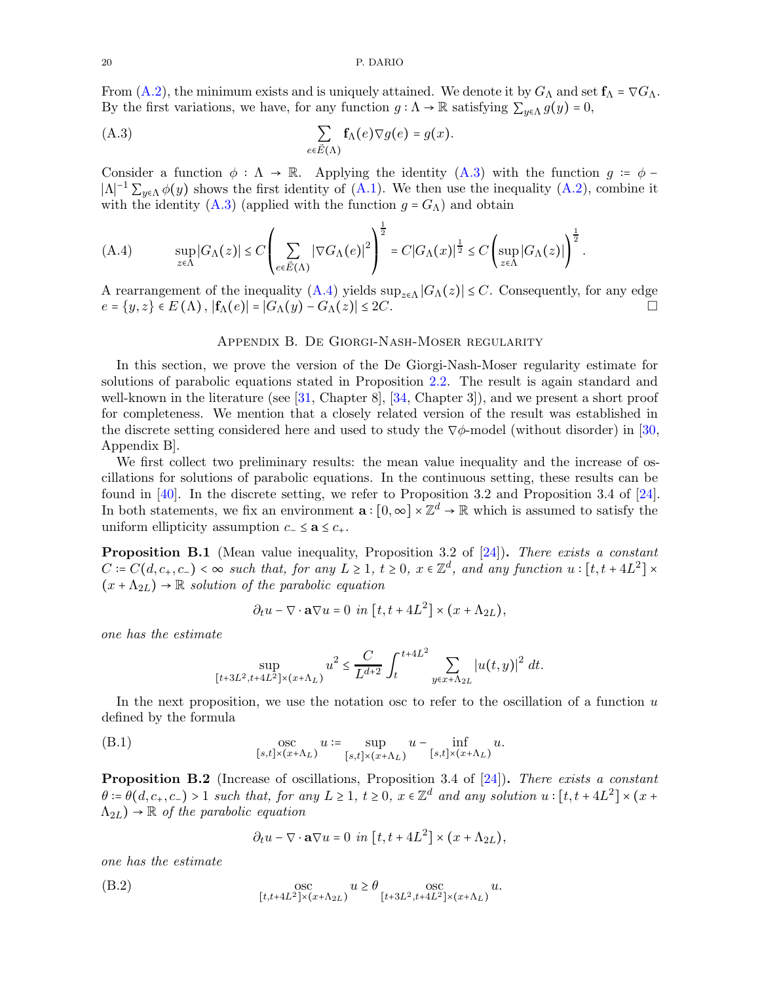From [\(A.2\)](#page-18-3), the minimum exists and is uniquely attained. We denote it by  $G_{\Lambda}$  and set  $f_{\Lambda} = \nabla G_{\Lambda}$ . By the first variations, we have, for any function  $g : \Lambda \to \mathbb{R}$  satisfying  $\sum_{y \in \Lambda} g(y) = 0$ ,

<span id="page-19-1"></span>(A.3) 
$$
\sum_{e \in \vec{E}(\Lambda)} \mathbf{f}_{\Lambda}(e) \nabla g(e) = g(x).
$$

Consider a function  $\phi : \Lambda \to \mathbb{R}$ . Applying the identity  $(A.3)$  with the function  $g = \phi |\Lambda|^{-1} \sum_{y \in \Lambda} \phi(y)$  shows the first identity of  $(\Lambda.1)$ . We then use the inequality  $(\Lambda.2)$ , combine it with the identity [\(A.3\)](#page-19-1) (applied with the function  $g = G_{\Lambda}$ ) and obtain

<span id="page-19-2"></span>(A.4) 
$$
\sup_{z \in \Lambda} |G_{\Lambda}(z)| \leq C \left( \sum_{e \in \vec{E}(\Lambda)} |\nabla G_{\Lambda}(e)|^2 \right)^{\frac{1}{2}} = C|G_{\Lambda}(x)|^{\frac{1}{2}} \leq C \left( \sup_{z \in \Lambda} |G_{\Lambda}(z)| \right)^{\frac{1}{2}}.
$$

<span id="page-19-0"></span>A rearrangement of the inequality  $(A.4)$  yields  $\sup_{z \in \Lambda} |G_{\Lambda}(z)| \leq C$ . Consequently, for any edge  $e = \{u, z\} \in E(\Lambda)$ .  $|f_{\Lambda}(e)| = |G_{\Lambda}(u) - G_{\Lambda}(z)| \leq 2C$ .  $e = \{y, z\} \in E(\Lambda)$ ,  $|f_{\Lambda}(e)| = |G_{\Lambda}(y) - G_{\Lambda}(z)| \leq 2C$ .

## Appendix B. De Giorgi-Nash-Moser regularity

In this section, we prove the version of the De Giorgi-Nash-Moser regularity estimate for solutions of parabolic equations stated in Proposition [2.2.](#page-10-0) The result is again standard and well-known in the literature (see [\[31,](#page-21-25) Chapter 8], [\[34,](#page-21-26) Chapter 3]), and we present a short proof for completeness. We mention that a closely related version of the result was established in the discrete setting considered here and used to study the  $\nabla \phi$ -model (without disorder) in [\[30,](#page-21-7) Appendix B].

We first collect two preliminary results: the mean value inequality and the increase of oscillations for solutions of parabolic equations. In the continuous setting, these results can be found in [\[40\]](#page-21-24). In the discrete setting, we refer to Proposition 3.2 and Proposition 3.4 of [\[24\]](#page-21-3). In both statements, we fix an environment  $\mathbf{a} : [0, \infty] \times \mathbb{Z}^d \to \mathbb{R}$  which is assumed to satisfy the uniform ellipticity assumption  $c_-\leq \mathbf{a}\leq c_+$ .

<span id="page-19-3"></span>**Proposition B.1** (Mean value inequality, Proposition 3.2 of [\[24\]](#page-21-3)). There exists a constant  $C = C(d, c_+, c_-) < \infty$  such that, for any  $L \geq 1$ ,  $t \geq 0$ ,  $x \in \mathbb{Z}^d$ , and any function  $u : [t, t + 4L^2] \times$  $(x + \Lambda_{2L}) \rightarrow \mathbb{R}$  solution of the parabolic equation

$$
\partial_t u - \nabla \cdot \mathbf{a} \nabla u = 0 \quad \text{in} \quad [t, t + 4L^2] \times (x + \Lambda_{2L}),
$$

one has the estimate

$$
\sup_{[t+3L^2,t+4L^2]\times (x+\Lambda_L)}u^2\leq \frac{C}{L^{d+2}}\int_t^{t+4L^2}\sum_{y\in x+\Lambda_{2L}}|u(t,y)|^2\ dt.
$$

In the next proposition, we use the notation osc to refer to the oscillation of a function  $u$ defined by the formula

(B.1) 
$$
\operatorname*{osc}_{[s,t]\times(x+\Lambda_L)} u := \sup_{[s,t]\times(x+\Lambda_L)} u - \inf_{[s,t]\times(x+\Lambda_L)} u.
$$

<span id="page-19-4"></span>Proposition B.2 (Increase of oscillations, Proposition 3.4 of [\[24\]](#page-21-3)). There exists a constant  $\theta := \theta(d, c_+, c_-) > 1$  such that, for any  $L \geq 1$ ,  $t \geq 0$ ,  $x \in \mathbb{Z}^d$  and any solution  $u : [t, t + 4L^2] \times (x +$  $(\Lambda_{2L}) \rightarrow \mathbb{R}$  of the parabolic equation

<span id="page-19-5"></span>
$$
\partial_t u - \nabla \cdot \mathbf{a} \nabla u = 0 \quad \text{in} \quad [t, t + 4L^2] \times (x + \Lambda_{2L}),
$$

one has the estimate

(B.2) 
$$
\operatorname*{osc}_{[t,t+4L^{2}]\times(x+\Lambda_{2L})} u \geq \theta \operatorname*{osc}_{[t+3L^{2},t+4L^{2}]\times(x+\Lambda_{L})} u.
$$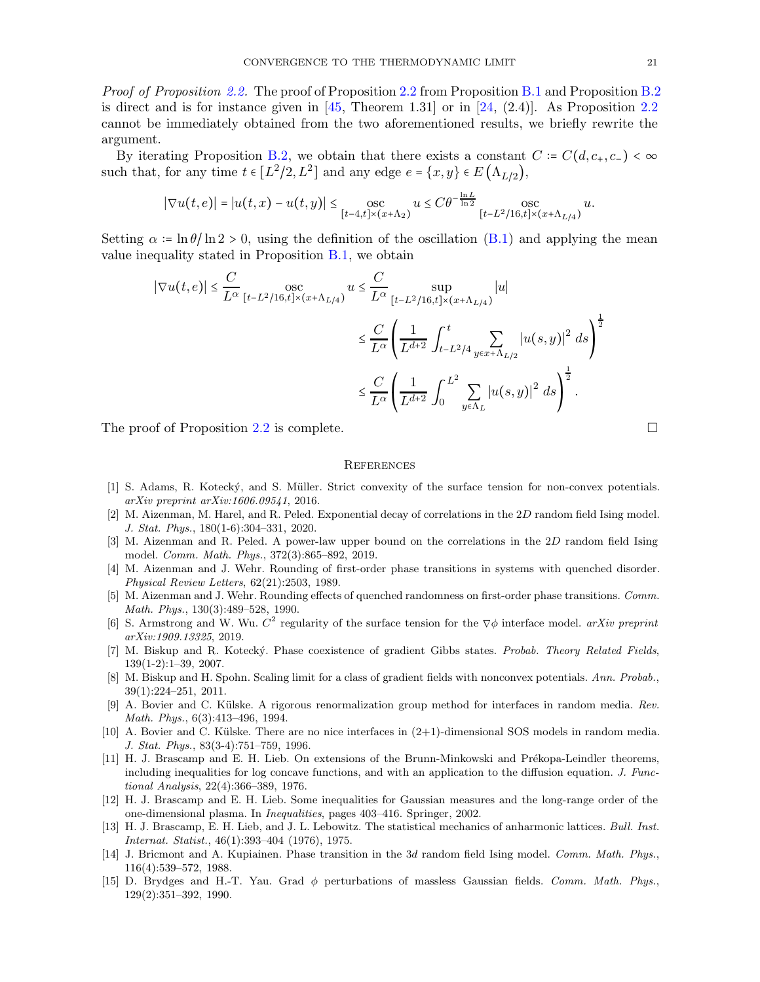*Proof of Proposition [2.2.](#page-10-0)* The proof of Proposition [2.2](#page-10-0) from Proposition [B.1](#page-19-3) and Proposition [B.2](#page-19-4) is direct and is for instance given in  $[45,$  Theorem 1.31] or in [\[24,](#page-21-3) (2.4)]. As Proposition [2.2](#page-10-0) cannot be immediately obtained from the two aforementioned results, we briefly rewrite the argument.

By iterating Proposition [B.2,](#page-19-4) we obtain that there exists a constant  $C = C(d, c_+, c_-) < \infty$ such that, for any time  $t \in [L^2/2, L^2]$  and any edge  $e = \{x, y\} \in E(\Lambda_{L/2}),$ 

$$
|\nabla u(t,e)| = |u(t,x) - u(t,y)| \leq \underset{[t-4,t] \times (x+\Lambda_2)}{\text{osc}} u \leq C \theta^{-\frac{\ln L}{\ln 2}} \underset{[t-L^2/16,t] \times (x+\Lambda_{L/4})}{\text{osc}} u.
$$

Setting  $\alpha = \ln \theta / \ln 2 > 0$ , using the definition of the oscillation [\(B.1\)](#page-19-5) and applying the mean value inequality stated in Proposition [B.1,](#page-19-3) we obtain

$$
\begin{split} |\nabla u(t,e)|&\leq \frac{C}{L^{\alpha}}\operatorname*{osc}_{[t-L^{2}/16,t]\times(x+\Lambda_{L/4})}u\leq \frac{C}{L^{\alpha}}\sup_{[t-L^{2}/16,t]\times(x+\Lambda_{L/4})}|u|\\ &\leq \frac{C}{L^{\alpha}}\left(\frac{1}{L^{d+2}}\int_{t-L^{2}/4}^{t}\sum_{y\in x+\Lambda_{L/2}}|u(s,y)|^{2}\;ds\right)^{\frac{1}{2}}\\ &\leq \frac{C}{L^{\alpha}}\left(\frac{1}{L^{d+2}}\int_{0}^{L^{2}}\sum_{y\in\Lambda_{L}}|u(s,y)|^{2}\;ds\right)^{\frac{1}{2}}. \end{split}
$$

The proof of Proposition [2.2](#page-10-0) is complete.

#### <span id="page-20-0"></span>**REFERENCES**

- <span id="page-20-8"></span>[1] S. Adams, R. Koteck´y, and S. M¨uller. Strict convexity of the surface tension for non-convex potentials. arXiv preprint arXiv:1606.09541, 2016.
- <span id="page-20-12"></span>[2] M. Aizenman, M. Harel, and R. Peled. Exponential decay of correlations in the 2D random field Ising model. J. Stat. Phys., 180(1-6):304–331, 2020.
- <span id="page-20-11"></span>[3] M. Aizenman and R. Peled. A power-law upper bound on the correlations in the 2D random field Ising model. Comm. Math. Phys., 372(3):865–892, 2019.
- <span id="page-20-9"></span>[4] M. Aizenman and J. Wehr. Rounding of first-order phase transitions in systems with quenched disorder. Physical Review Letters, 62(21):2503, 1989.
- <span id="page-20-10"></span>[5] M. Aizenman and J. Wehr. Rounding effects of quenched randomness on first-order phase transitions. Comm. Math. Phys., 130(3):489–528, 1990.
- <span id="page-20-5"></span>[6] S. Armstrong and W. Wu.  $C^2$  regularity of the surface tension for the  $\nabla\phi$  interface model. arXiv preprint arXiv:1909.13325, 2019.
- <span id="page-20-6"></span>[7] M. Biskup and R. Kotecký. Phase coexistence of gradient Gibbs states. Probab. Theory Related Fields, 139(1-2):1–39, 2007.
- <span id="page-20-7"></span>[8] M. Biskup and H. Spohn. Scaling limit for a class of gradient fields with nonconvex potentials. Ann. Probab., 39(1):224–251, 2011.
- <span id="page-20-13"></span>[9] A. Bovier and C. Külske. A rigorous renormalization group method for interfaces in random media. Rev. Math. Phys., 6(3):413–496, 1994.
- <span id="page-20-14"></span>[10] A. Bovier and C. Külske. There are no nice interfaces in  $(2+1)$ -dimensional SOS models in random media. J. Stat. Phys., 83(3-4):751–759, 1996.
- <span id="page-20-2"></span>[11] H. J. Brascamp and E. H. Lieb. On extensions of the Brunn-Minkowski and Prékopa-Leindler theorems, including inequalities for log concave functions, and with an application to the diffusion equation. J. Functional Analysis, 22(4):366–389, 1976.
- <span id="page-20-3"></span>[12] H. J. Brascamp and E. H. Lieb. Some inequalities for Gaussian measures and the long-range order of the one-dimensional plasma. In Inequalities, pages 403–416. Springer, 2002.
- <span id="page-20-1"></span>[13] H. J. Brascamp, E. H. Lieb, and J. L. Lebowitz. The statistical mechanics of anharmonic lattices. Bull. Inst. Internat. Statist., 46(1):393–404 (1976), 1975.
- <span id="page-20-15"></span>[14] J. Bricmont and A. Kupiainen. Phase transition in the 3d random field Ising model. Comm. Math. Phys., 116(4):539–572, 1988.
- <span id="page-20-4"></span>[15] D. Brydges and H.-T. Yau. Grad  $\phi$  perturbations of massless Gaussian fields. Comm. Math. Phys., 129(2):351–392, 1990.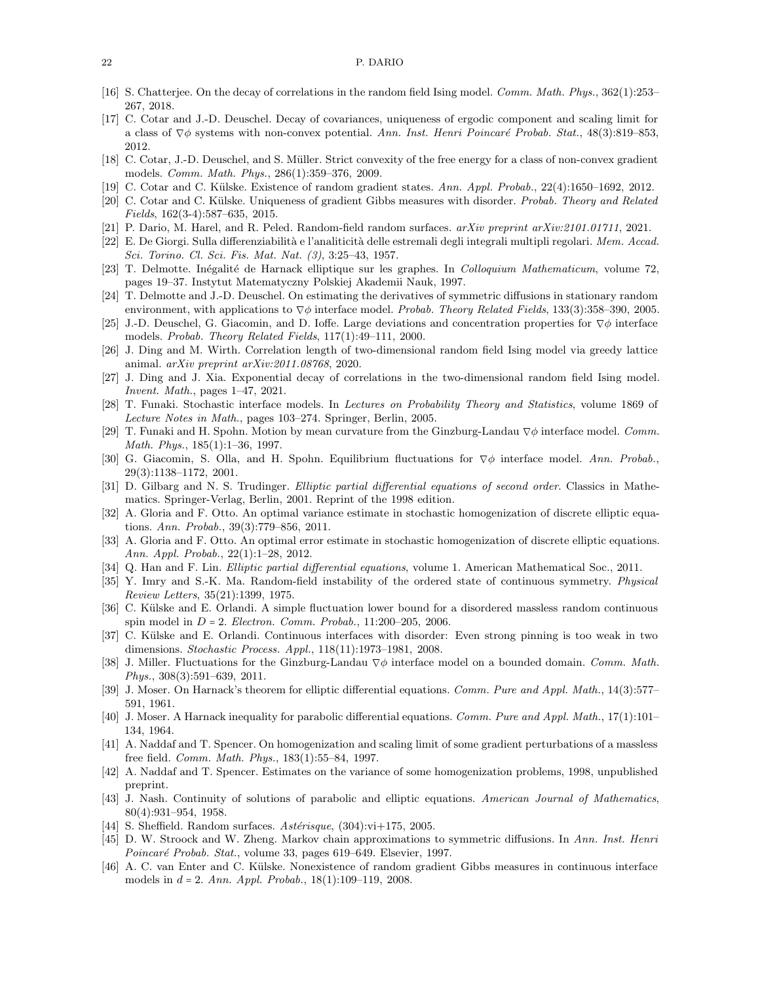#### <span id="page-21-14"></span>22 P. DARIO

- <span id="page-21-10"></span>[16] S. Chatterjee. On the decay of correlations in the random field Ising model. Comm. Math. Phys., 362(1):253– 267, 2018.
- [17] C. Cotar and J.-D. Deuschel. Decay of covariances, uniqueness of ergodic component and scaling limit for a class of  $\nabla \phi$  systems with non-convex potential. Ann. Inst. Henri Poincaré Probab. Stat., 48(3):819–853, 2012.
- <span id="page-21-11"></span><span id="page-21-0"></span>[18] C. Cotar, J.-D. Deuschel, and S. Müller. Strict convexity of the free energy for a class of non-convex gradient models. Comm. Math. Phys., 286(1):359–376, 2009.
- <span id="page-21-4"></span>[19] C. Cotar and C. Külske. Existence of random gradient states. Ann. Appl. Probab., 22(4):1650–1692, 2012.
- <span id="page-21-5"></span>[20] C. Cotar and C. Külske. Uniqueness of gradient Gibbs measures with disorder. Probab. Theory and Related Fields, 162(3-4):587–635, 2015.
- <span id="page-21-21"></span>[21] P. Dario, M. Harel, and R. Peled. Random-field random surfaces. arXiv preprint arXiv:2101.01711, 2021.
- <span id="page-21-20"></span>[22] E. De Giorgi. Sulla differenziabilità e l'analiticità delle estremali degli integrali multipli regolari. Mem. Accad. Sci. Torino. Cl. Sci. Fis. Mat. Nat. (3), 3:25–43, 1957.
- <span id="page-21-3"></span>[23] T. Delmotte. Inégalité de Harnack elliptique sur les graphes. In *Colloquium Mathematicum*, volume 72, pages 19–37. Instytut Matematyczny Polskiej Akademii Nauk, 1997.
- <span id="page-21-8"></span>[24] T. Delmotte and J.-D. Deuschel. On estimating the derivatives of symmetric diffusions in stationary random environment, with applications to  $\nabla \phi$  interface model. Probab. Theory Related Fields, 133(3):358–390, 2005.
- <span id="page-21-16"></span>[25] J.-D. Deuschel, G. Giacomin, and D. Ioffe. Large deviations and concentration properties for ∇φ interface models. Probab. Theory Related Fields, 117(1):49–111, 2000.
- [26] J. Ding and M. Wirth. Correlation length of two-dimensional random field Ising model via greedy lattice animal. arXiv preprint arXiv:2011.08768, 2020.
- <span id="page-21-15"></span><span id="page-21-2"></span>[27] J. Ding and J. Xia. Exponential decay of correlations in the two-dimensional random field Ising model. Invent. Math., pages 1–47, 2021.
- <span id="page-21-1"></span>[28] T. Funaki. Stochastic interface models. In Lectures on Probability Theory and Statistics, volume 1869 of Lecture Notes in Math., pages 103–274. Springer, Berlin, 2005.
- [29] T. Funaki and H. Spohn. Motion by mean curvature from the Ginzburg-Landau ∇φ interface model. Comm. Math. Phys., 185(1):1–36, 1997.
- <span id="page-21-7"></span>[30] G. Giacomin, S. Olla, and H. Spohn. Equilibrium fluctuations for ∇φ interface model. Ann. Probab., 29(3):1138–1172, 2001.
- <span id="page-21-29"></span><span id="page-21-25"></span>[31] D. Gilbarg and N. S. Trudinger. Elliptic partial differential equations of second order. Classics in Mathematics. Springer-Verlag, Berlin, 2001. Reprint of the 1998 edition.
- [32] A. Gloria and F. Otto. An optimal variance estimate in stochastic homogenization of discrete elliptic equations. Ann. Probab., 39(3):779–856, 2011.
- <span id="page-21-27"></span>[33] A. Gloria and F. Otto. An optimal error estimate in stochastic homogenization of discrete elliptic equations. Ann. Appl. Probab., 22(1):1–28, 2012.
- <span id="page-21-26"></span><span id="page-21-13"></span>[34] Q. Han and F. Lin. Elliptic partial differential equations, volume 1. American Mathematical Soc., 2011.
- [35] Y. Imry and S.-K. Ma. Random-field instability of the ordered state of continuous symmetry. Physical Review Letters, 35(21):1399, 1975.
- <span id="page-21-18"></span>[36] C. Külske and E. Orlandi. A simple fluctuation lower bound for a disordered massless random continuous spin model in  $D = 2$ . Electron. Comm. Probab., 11:200-205, 2006.
- <span id="page-21-19"></span>[37] C. Külske and E. Orlandi. Continuous interfaces with disorder: Even strong pinning is too weak in two dimensions. Stochastic Process. Appl., 118(11):1973–1981, 2008.
- <span id="page-21-9"></span>[38] J. Miller. Fluctuations for the Ginzburg-Landau ∇φ interface model on a bounded domain. Comm. Math. Phys., 308(3):591–639, 2011.
- <span id="page-21-23"></span>[39] J. Moser. On Harnack's theorem for elliptic differential equations. Comm. Pure and Appl. Math., 14(3):577– 591, 1961.
- <span id="page-21-24"></span>[40] J. Moser. A Harnack inequality for parabolic differential equations. Comm. Pure and Appl. Math., 17(1):101-134, 1964.
- <span id="page-21-6"></span>[41] A. Naddaf and T. Spencer. On homogenization and scaling limit of some gradient perturbations of a massless free field. Comm. Math. Phys., 183(1):55–84, 1997.
- <span id="page-21-28"></span>[42] A. Naddaf and T. Spencer. Estimates on the variance of some homogenization problems, 1998, unpublished preprint.
- <span id="page-21-22"></span>[43] J. Nash. Continuity of solutions of parabolic and elliptic equations. American Journal of Mathematics, 80(4):931–954, 1958.
- <span id="page-21-30"></span><span id="page-21-12"></span>[44] S. Sheffield. Random surfaces.  $Ast\acute{e}risque$ , (304): $vi+175$ , 2005.
- [45] D. W. Stroock and W. Zheng. Markov chain approximations to symmetric diffusions. In Ann. Inst. Henri Poincaré Probab. Stat., volume 33, pages 619–649. Elsevier, 1997.
- <span id="page-21-17"></span>[46] A. C. van Enter and C. Külske. Nonexistence of random gradient Gibbs measures in continuous interface models in  $d = 2$ . Ann. Appl. Probab., 18(1):109-119, 2008.